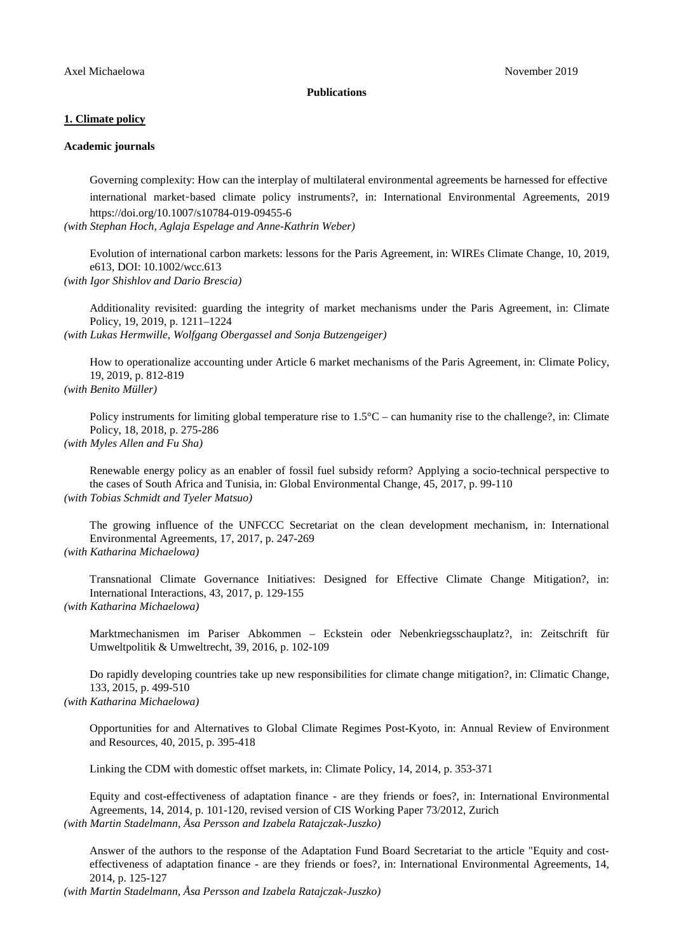#### **Publications**

## **1. Climate policy**

### **Academic journals**

Governing complexity: How can the interplay of multilateral environmental agreements be harnessed for effective international market-based climate policy instruments?, in: International Environmental Agreements, 2019 https://doi.org/10.1007/s10784-019-09455-6

*(with Stephan Hoch, Aglaja Espelage and Anne-Kathrin Weber)*

Evolution of international carbon markets: lessons for the Paris Agreement, in: WIREs Climate Change, 10, 2019, e613, DOI: 10.1002/wcc.613

*(with Igor Shishlov and Dario Brescia)*

Additionality revisited: guarding the integrity of market mechanisms under the Paris Agreement, in: Climate Policy, 19, 2019, p. 1211–1224

*(with Lukas Hermwille, Wolfgang Obergassel and Sonja Butzengeiger)*

How to operationalize accounting under Article 6 market mechanisms of the Paris Agreement, in: Climate Policy, 19, 2019, p. 812-819

# *(with Benito Müller)*

Policy instruments for limiting global temperature rise to 1.5°C – can humanity rise to the challenge?, in: Climate Policy, 18, 2018, p. 275-286

# *(with Myles Allen and Fu Sha)*

Renewable energy policy as an enabler of fossil fuel subsidy reform? Applying a socio-technical perspective to the cases of South Africa and Tunisia, in: Global Environmental Change, 45, 2017, p. 99-110 *(with Tobias Schmidt and Tyeler Matsuo)*

The growing influence of the UNFCCC Secretariat on the clean development mechanism, in: International Environmental Agreements, 17, 2017, p. 247-269 *(with Katharina Michaelowa)*

Transnational Climate Governance Initiatives: Designed for Effective Climate Change Mitigation?, in: International Interactions, 43, 2017, p. 129-155 *(with Katharina Michaelowa)*

Marktmechanismen im Pariser Abkommen – Eckstein oder Nebenkriegsschauplatz?, in: Zeitschrift für Umweltpolitik & Umweltrecht, 39, 2016, p. 102-109

Do rapidly developing countries take up new responsibilities for climate change mitigation?, in: Climatic Change, 133, 2015, p. 499-510 *(with Katharina Michaelowa)*

Opportunities for and Alternatives to Global Climate Regimes Post-Kyoto, in: Annual Review of Environment and Resources, 40, 2015, p. 395-418

Linking the CDM with domestic offset markets, in: Climate Policy, 14, 2014, p. 353-371

Equity and cost-effectiveness of adaptation finance - are they friends or foes?, in: International Environmental Agreements, 14, 2014, p. 101-120, revised version of CIS Working Paper 73/2012, Zurich *(with Martin Stadelmann, Åsa Persson and Izabela Ratajczak-Juszko)*

Answer of the authors to the response of the Adaptation Fund Board Secretariat to the article "Equity and costeffectiveness of adaptation finance - are they friends or foes?, in: International Environmental Agreements, 14, 2014, p. 125-127

*(with Martin Stadelmann, Åsa Persson and Izabela Ratajczak-Juszko)*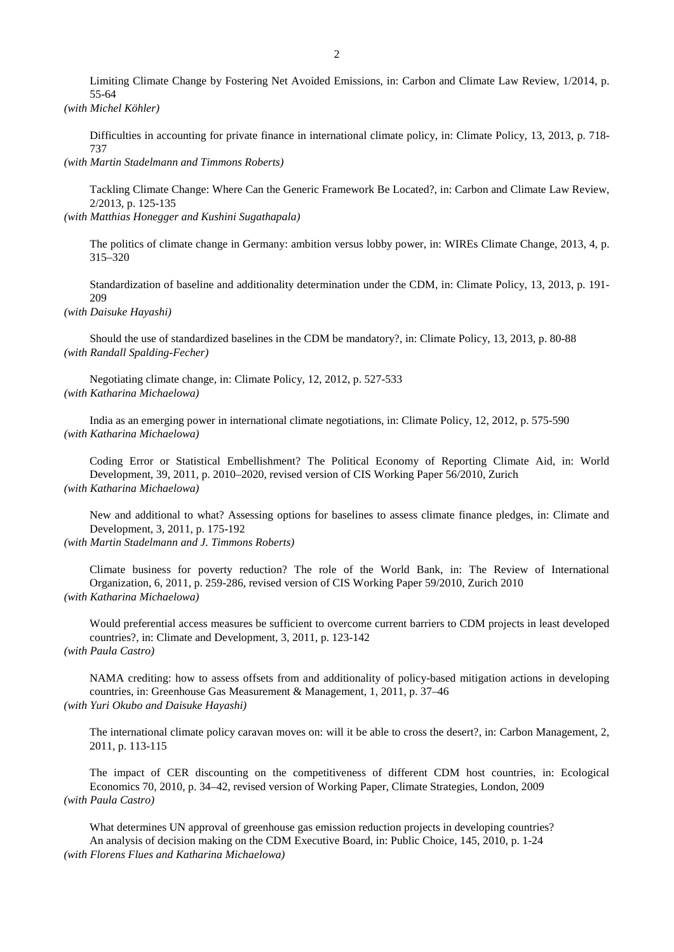Limiting Climate Change by Fostering Net Avoided Emissions, in: Carbon and Climate Law Review, 1/2014, p. 55-64

*(with Michel Köhler)*

Difficulties in accounting for private finance in international climate policy, in: Climate Policy, 13, 2013, p. 718- 737

*(with Martin Stadelmann and Timmons Roberts)*

Tackling Climate Change: Where Can the Generic Framework Be Located?, in: Carbon and Climate Law Review, 2/2013, p. 125-135

*(with Matthias Honegger and Kushini Sugathapala)*

The politics of climate change in Germany: ambition versus lobby power, in: WIREs Climate Change, 2013, 4, p. 315–320

Standardization of baseline and additionality determination under the CDM, in: Climate Policy, 13, 2013, p. 191- 209

*(with Daisuke Hayashi)*

Should the use of standardized baselines in the CDM be mandatory?, in: Climate Policy, 13, 2013, p. 80-88 *(with Randall Spalding-Fecher)*

Negotiating climate change, in: Climate Policy, 12, 2012, p. 527-533 *(with Katharina Michaelowa)*

India as an emerging power in international climate negotiations, in: Climate Policy, 12, 2012, p. 575-590 *(with Katharina Michaelowa)*

Coding Error or Statistical Embellishment? The Political Economy of Reporting Climate Aid, in: World Development, 39, 2011, p. 2010–2020, revised version of CIS Working Paper 56/2010, Zurich *(with Katharina Michaelowa)*

New and additional to what? Assessing options for baselines to assess climate finance pledges, in: Climate and Development, 3, 2011, p. 175-192

*(with Martin Stadelmann and J. Timmons Roberts)*

Climate business for poverty reduction? The role of the World Bank, in: The Review of International Organization, 6, 2011, p. 259-286, revised version of CIS Working Paper 59/2010, Zurich 2010 *(with Katharina Michaelowa)*

Would preferential access measures be sufficient to overcome current barriers to CDM projects in least developed countries?, in: Climate and Development, 3, 2011, p. 123-142 *(with Paula Castro)*

NAMA crediting: how to assess offsets from and additionality of policy-based mitigation actions in developing countries, in: Greenhouse Gas Measurement & Management, 1, 2011, p. 37–46 *(with Yuri Okubo and Daisuke Hayashi)*

The international climate policy caravan moves on: will it be able to cross the desert?, in: Carbon Management, 2, 2011, p. 113-115

The impact of CER discounting on the competitiveness of different CDM host countries, in: Ecological Economics 70, 2010, p. 34–42, revised version of Working Paper, Climate Strategies, London, 2009 *(with Paula Castro)*

What determines UN approval of greenhouse gas emission reduction projects in developing countries? An analysis of decision making on the CDM Executive Board, in: Public Choice, 145, 2010, p. 1-24 *(with Florens Flues and Katharina Michaelowa)*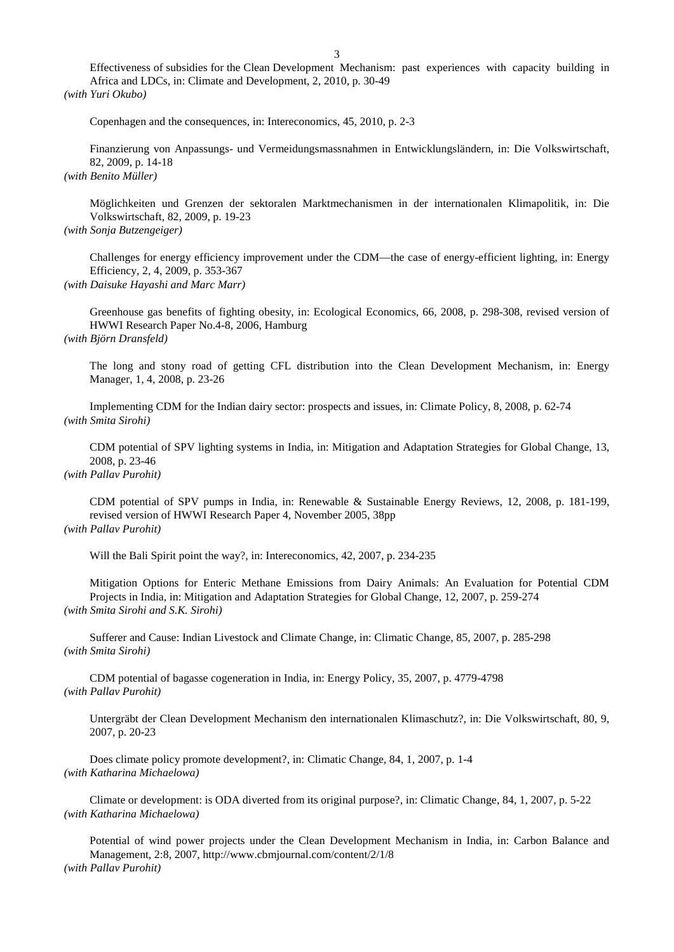Effectiveness of subsidies for the Clean Development Mechanism: past experiences with capacity building in Africa and LDCs, in: Climate and Development, 2, 2010, p. 30-49 *(with Yuri Okubo)*

Copenhagen and the consequences, in: Intereconomics, 45, 2010, p. 2-3

Finanzierung von Anpassungs- und Vermeidungsmassnahmen in Entwicklungsländern, in: Die Volkswirtschaft, 82, 2009, p. 14-18

*(with Benito Müller)*

Möglichkeiten und Grenzen der sektoralen Marktmechanismen in der internationalen Klimapolitik, in: Die Volkswirtschaft, 82, 2009, p. 19-23

*(with Sonja Butzengeiger)*

Challenges for energy efficiency improvement under the CDM—the case of energy-efficient lighting, in: Energy Efficiency, 2, 4, 2009, p. 353-367

*(with Daisuke Hayashi and Marc Marr)*

Greenhouse gas benefits of fighting obesity, in: Ecological Economics, 66, 2008, p. 298-308, revised version of HWWI Research Paper No.4-8, 2006, Hamburg *(with Björn Dransfeld)*

The long and stony road of getting CFL distribution into the Clean Development Mechanism, in: Energy Manager, 1, 4, 2008, p. 23-26

Implementing CDM for the Indian dairy sector: prospects and issues, in: Climate Policy, 8, 2008, p. 62-74 *(with Smita Sirohi)*

CDM potential of SPV lighting systems in India, in: Mitigation and Adaptation Strategies for Global Change, 13, 2008, p. 23-46

*(with Pallav Purohit)*

CDM potential of SPV pumps in India, in: Renewable & Sustainable Energy Reviews, 12, 2008, p. 181-199, revised version of HWWI Research Paper 4, November 2005, 38pp *(with Pallav Purohit)*

Will the Bali Spirit point the way?, in: Intereconomics, 42, 2007, p. 234-235

Mitigation Options for Enteric Methane Emissions from Dairy Animals: An Evaluation for Potential CDM Projects in India, in: Mitigation and Adaptation Strategies for Global Change, 12, 2007, p. 259-274 *(with Smita Sirohi and S.K. Sirohi)*

Sufferer and Cause: Indian Livestock and Climate Change, in: Climatic Change, 85, 2007, p. 285-298 *(with Smita Sirohi)*

CDM potential of bagasse cogeneration in India, in: Energy Policy, 35, 2007, p. 4779-4798 *(with Pallav Purohit)*

Untergräbt der Clean Development Mechanism den internationalen Klimaschutz?, in: Die Volkswirtschaft, 80, 9, 2007, p. 20-23

Does climate policy promote development?, in: Climatic Change, 84, 1, 2007, p. 1-4 *(with Katharina Michaelowa)*

Climate or development: is ODA diverted from its original purpose?, in: Climatic Change, 84, 1, 2007, p. 5-22 *(with Katharina Michaelowa)*

Potential of wind power projects under the Clean Development Mechanism in India, in: Carbon Balance and Management, 2:8, 2007, http://www.cbmjournal.com/content/2/1/8 *(with Pallav Purohit)*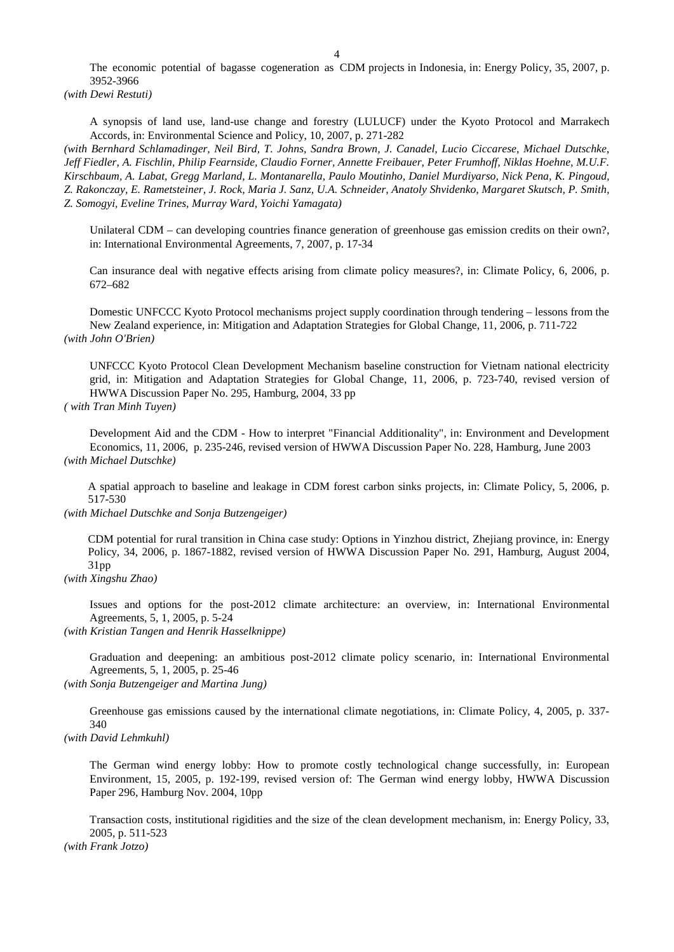The economic potential of bagasse cogeneration as CDM projects in Indonesia, in: Energy Policy, 35, 2007, p. 3952-3966

*(with Dewi Restuti)*

A synopsis of land use, land-use change and forestry (LULUCF) under the Kyoto Protocol and Marrakech Accords, in: Environmental Science and Policy, 10, 2007, p. 271-282

*(with Bernhard Schlamadinger, Neil Bird, T. Johns, Sandra Brown, J. Canadel, Lucio Ciccarese, Michael Dutschke, Jeff Fiedler, A. Fischlin, Philip Fearnside, Claudio Forner, Annette Freibauer, Peter Frumhoff, Niklas Hoehne, M.U.F. Kirschbaum, A. Labat, Gregg Marland, L. Montanarella, Paulo Moutinho, Daniel Murdiyarso, Nick Pena, K. Pingoud, Z. Rakonczay, E. Rametsteiner, J. Rock, Maria J. Sanz, U.A. Schneider, Anatoly Shvidenko, Margaret Skutsch, P. Smith, Z. Somogyi, Eveline Trines, Murray Ward, Yoichi Yamagata)*

Unilateral CDM – can developing countries finance generation of greenhouse gas emission credits on their own?, in: International Environmental Agreements, 7, 2007, p. 17-34

Can insurance deal with negative effects arising from climate policy measures?, in: Climate Policy, 6, 2006, p. 672–682

Domestic UNFCCC Kyoto Protocol mechanisms project supply coordination through tendering – lessons from the New Zealand experience, in: Mitigation and Adaptation Strategies for Global Change, 11, 2006, p. 711-722 *(with John O'Brien)*

UNFCCC Kyoto Protocol Clean Development Mechanism baseline construction for Vietnam national electricity grid, in: Mitigation and Adaptation Strategies for Global Change, 11, 2006, p. 723-740, revised version of HWWA Discussion Paper No. 295, Hamburg, 2004, 33 pp

*( with Tran Minh Tuyen)*

Development Aid and the CDM - How to interpret "Financial Additionality", in: Environment and Development Economics, 11, 2006, p. 235-246, revised version of HWWA Discussion Paper No. 228, Hamburg, June 2003 *(with Michael Dutschke)*

A spatial approach to baseline and leakage in CDM forest carbon sinks projects, in: Climate Policy, 5, 2006, p. 517-530

*(with Michael Dutschke and Sonja Butzengeiger)*

CDM potential for rural transition in China case study: Options in Yinzhou district, Zhejiang province, in: Energy Policy, 34, 2006, p. 1867-1882, revised version of HWWA Discussion Paper No. 291, Hamburg, August 2004, 31pp

*(with Xingshu Zhao)*

Issues and options for the post-2012 climate architecture: an overview, in: International Environmental Agreements, 5, 1, 2005, p. 5-24

*(with Kristian Tangen and Henrik Hasselknippe)*

Graduation and deepening: an ambitious post-2012 climate policy scenario, in: International Environmental Agreements, 5, 1, 2005, p. 25-46

*(with Sonja Butzengeiger and Martina Jung)*

Greenhouse gas emissions caused by the international climate negotiations, in: Climate Policy, 4, 2005, p. 337- 340

*(with David Lehmkuhl)*

The German wind energy lobby: How to promote costly technological change successfully, in: European Environment, 15, 2005, p. 192-199, revised version of: The German wind energy lobby, HWWA Discussion Paper 296, Hamburg Nov. 2004, 10pp

Transaction costs, institutional rigidities and the size of the clean development mechanism, in: Energy Policy, 33, 2005, p. 511-523

*(with Frank Jotzo)*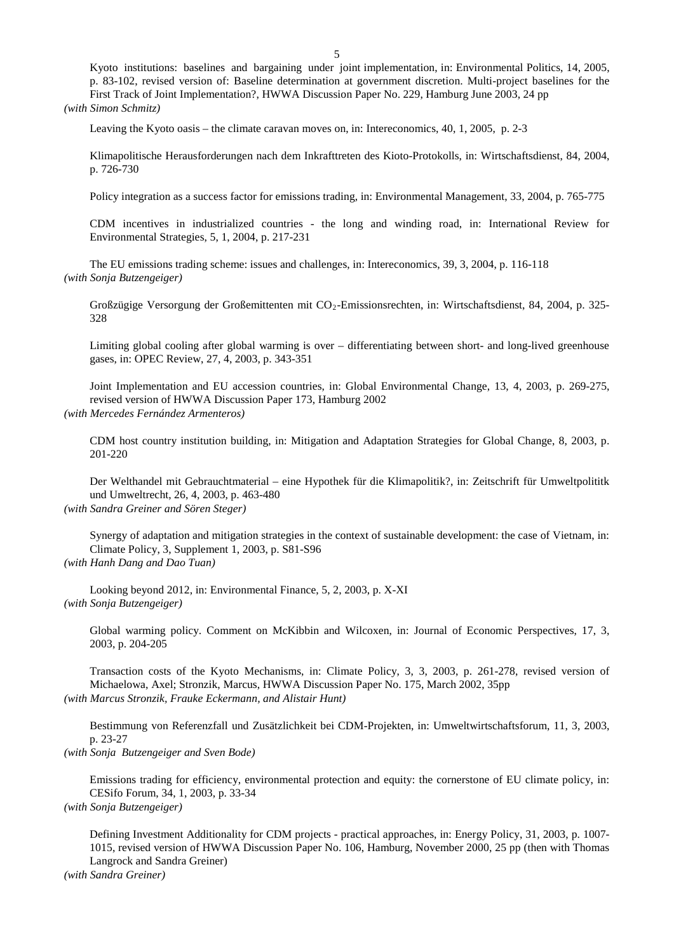Kyoto institutions: baselines and bargaining under joint implementation, in: Environmental Politics, 14, 2005, p. 83-102, revised version of: Baseline determination at government discretion. Multi-project baselines for the First Track of Joint Implementation?, HWWA Discussion Paper No. 229, Hamburg June 2003, 24 pp *(with Simon Schmitz)*

Leaving the Kyoto oasis – the climate caravan moves on, in: Intereconomics, 40, 1, 2005, p. 2-3

Klimapolitische Herausforderungen nach dem Inkrafttreten des Kioto-Protokolls, in: Wirtschaftsdienst, 84, 2004, p. 726-730

Policy integration as a success factor for emissions trading, in: Environmental Management, 33, 2004, p. 765-775

CDM incentives in industrialized countries - the long and winding road, in: International Review for Environmental Strategies, 5, 1, 2004, p. 217-231

The EU emissions trading scheme: issues and challenges, in: Intereconomics, 39, 3, 2004, p. 116-118 *(with Sonja Butzengeiger)*

Großzügige Versorgung der Großemittenten mit CO<sub>2</sub>-Emissionsrechten, in: Wirtschaftsdienst, 84, 2004, p. 325-328

Limiting global cooling after global warming is over – differentiating between short- and long-lived greenhouse gases, in: OPEC Review, 27, 4, 2003, p. 343-351

Joint Implementation and EU accession countries, in: Global Environmental Change, 13, 4, 2003, p. 269-275, revised version of HWWA Discussion Paper 173, Hamburg 2002 *(with Mercedes Fernández Armenteros)* 

CDM host country institution building, in: Mitigation and Adaptation Strategies for Global Change, 8, 2003, p. 201-220

Der Welthandel mit Gebrauchtmaterial – eine Hypothek für die Klimapolitik?, in: Zeitschrift für Umweltpolititk und Umweltrecht, 26, 4, 2003, p. 463-480 *(with Sandra Greiner and Sören Steger)*

Synergy of adaptation and mitigation strategies in the context of sustainable development: the case of Vietnam, in: Climate Policy, 3, Supplement 1, 2003, p. S81-S96 *(with Hanh Dang and Dao Tuan)*

Looking beyond 2012, in: Environmental Finance, 5, 2, 2003, p. X-XI *(with Sonja Butzengeiger)*

Global warming policy. Comment on McKibbin and Wilcoxen, in: Journal of Economic Perspectives, 17, 3, 2003, p. 204-205

Transaction costs of the Kyoto Mechanisms, in: Climate Policy, 3, 3, 2003, p. 261-278, revised version of Michaelowa, Axel; Stronzik, Marcus, HWWA Discussion Paper No. 175, March 2002, 35pp *(with Marcus Stronzik, Frauke Eckermann, and Alistair Hunt)*

Bestimmung von Referenzfall und Zusätzlichkeit bei CDM-Projekten, in: Umweltwirtschaftsforum, 11, 3, 2003, p. 23-27

*(with Sonja Butzengeiger and Sven Bode)*

Emissions trading for efficiency, environmental protection and equity: the cornerstone of EU climate policy, in: CESifo Forum, 34, 1, 2003, p. 33-34

*(with Sonja Butzengeiger)*

Defining Investment Additionality for CDM projects - practical approaches, in: Energy Policy, 31, 2003, p. 1007- 1015, revised version of HWWA Discussion Paper No. 106, Hamburg, November 2000, 25 pp (then with Thomas Langrock and Sandra Greiner)

*(with Sandra Greiner)*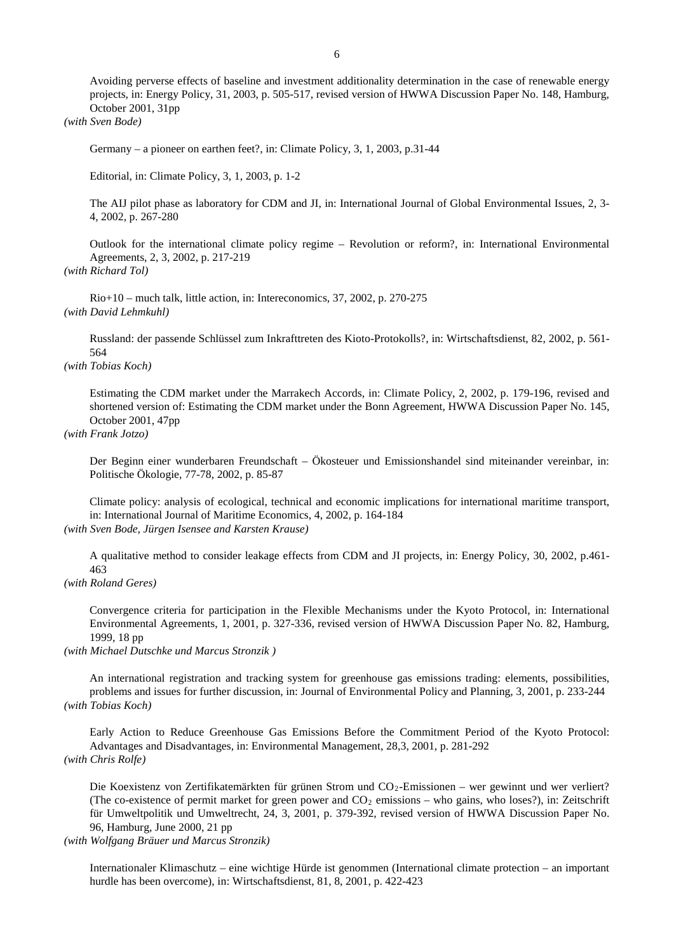Avoiding perverse effects of baseline and investment additionality determination in the case of renewable energy projects, in: Energy Policy, 31, 2003, p. 505-517, revised version of HWWA Discussion Paper No. 148, Hamburg, October 2001, 31pp

## *(with Sven Bode)*

Germany – a pioneer on earthen feet?, in: Climate Policy, 3, 1, 2003, p.31-44

Editorial, in: Climate Policy, 3, 1, 2003, p. 1-2

The AIJ pilot phase as laboratory for CDM and JI, in: International Journal of Global Environmental Issues, 2, 3- 4, 2002, p. 267-280

Outlook for the international climate policy regime – Revolution or reform?, in: International Environmental Agreements, 2, 3, 2002, p. 217-219 *(with Richard Tol)*

Rio+10 – much talk, little action, in: Intereconomics, 37, 2002, p. 270-275 *(with David Lehmkuhl)*

Russland: der passende Schlüssel zum Inkrafttreten des Kioto-Protokolls?, in: Wirtschaftsdienst, 82, 2002, p. 561- 564

*(with Tobias Koch)*

Estimating the CDM market under the Marrakech Accords, in: Climate Policy, 2, 2002, p. 179-196, revised and shortened version of: Estimating the CDM market under the Bonn Agreement, HWWA Discussion Paper No. 145, October 2001, 47pp

## *(with Frank Jotzo)*

Der Beginn einer wunderbaren Freundschaft – Ökosteuer und Emissionshandel sind miteinander vereinbar, in: Politische Ökologie, 77-78, 2002, p. 85-87

Climate policy: analysis of ecological, technical and economic implications for international maritime transport, in: International Journal of Maritime Economics, 4, 2002, p. 164-184 *(with Sven Bode, Jürgen Isensee and Karsten Krause)*

A qualitative method to consider leakage effects from CDM and JI projects, in: Energy Policy, 30, 2002, p.461- 463

*(with Roland Geres)*

Convergence criteria for participation in the Flexible Mechanisms under the Kyoto Protocol, in: International Environmental Agreements, 1, 2001, p. 327-336, revised version of HWWA Discussion Paper No. 82, Hamburg, 1999, 18 pp

*(with Michael Dutschke und Marcus Stronzik )*

An international registration and tracking system for greenhouse gas emissions trading: elements, possibilities, problems and issues for further discussion, in: Journal of Environmental Policy and Planning, 3, 2001, p. 233-244 *(with Tobias Koch)*

Early Action to Reduce Greenhouse Gas Emissions Before the Commitment Period of the Kyoto Protocol: Advantages and Disadvantages, in: Environmental Management, 28,3, 2001, p. 281-292 *(with Chris Rolfe)*

Die Koexistenz von Zertifikatemärkten für grünen Strom und CO<sub>2</sub>-Emissionen – wer gewinnt und wer verliert? (The co-existence of permit market for green power and  $CO<sub>2</sub>$  emissions – who gains, who loses?), in: Zeitschrift für Umweltpolitik und Umweltrecht, 24, 3, 2001, p. 379-392, revised version of HWWA Discussion Paper No. 96, Hamburg, June 2000, 21 pp

*(with Wolfgang Bräuer und Marcus Stronzik)* 

Internationaler Klimaschutz – eine wichtige Hürde ist genommen (International climate protection – an important hurdle has been overcome), in: Wirtschaftsdienst, 81, 8, 2001, p. 422-423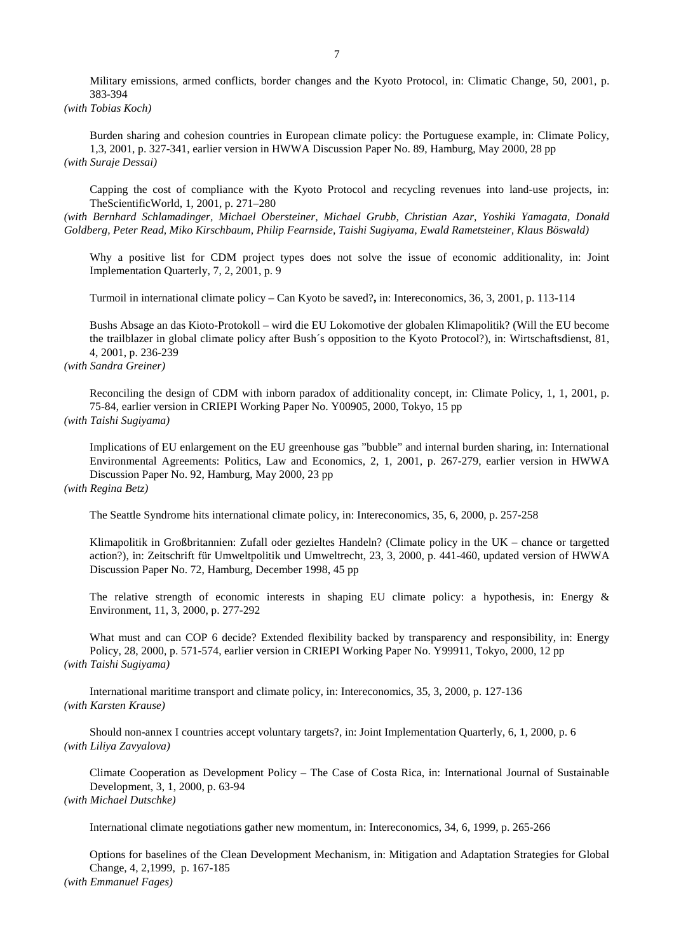Military emissions, armed conflicts, border changes and the Kyoto Protocol, in: Climatic Change, 50, 2001, p. 383-394

*(with Tobias Koch)*

Burden sharing and cohesion countries in European climate policy: the Portuguese example, in: Climate Policy, 1,3, 2001, p. 327-341, earlier version in HWWA Discussion Paper No. 89, Hamburg, May 2000, 28 pp *(with Suraje Dessai)*

Capping the cost of compliance with the Kyoto Protocol and recycling revenues into land-use projects, in: TheScientificWorld, 1, 2001, p. 271–280

*(with Bernhard Schlamadinger, Michael Obersteiner, Michael Grubb, Christian Azar, Yoshiki Yamagata, Donald Goldberg, Peter Read, Miko Kirschbaum, Philip Fearnside, Taishi Sugiyama, Ewald Rametsteiner, Klaus Böswald)*

Why a positive list for CDM project types does not solve the issue of economic additionality, in: Joint Implementation Quarterly, 7, 2, 2001, p. 9

Turmoil in international climate policy – Can Kyoto be saved?**,** in: Intereconomics, 36, 3, 2001, p. 113-114

Bushs Absage an das Kioto-Protokoll – wird die EU Lokomotive der globalen Klimapolitik? (Will the EU become the trailblazer in global climate policy after Bush´s opposition to the Kyoto Protocol?), in: Wirtschaftsdienst, 81, 4, 2001, p. 236-239

# *(with Sandra Greiner)*

Reconciling the design of CDM with inborn paradox of additionality concept, in: Climate Policy, 1, 1, 2001, p. 75-84, earlier version in CRIEPI Working Paper No. Y00905, 2000, Tokyo, 15 pp *(with Taishi Sugiyama)*

Implications of EU enlargement on the EU greenhouse gas "bubble" and internal burden sharing, in: International Environmental Agreements: Politics, Law and Economics, 2, 1, 2001, p. 267-279, earlier version in HWWA Discussion Paper No. 92, Hamburg, May 2000, 23 pp

*(with Regina Betz)*

The Seattle Syndrome hits international climate policy, in: Intereconomics, 35, 6, 2000, p. 257-258

Klimapolitik in Großbritannien: Zufall oder gezieltes Handeln? (Climate policy in the UK – chance or targetted action?), in: Zeitschrift für Umweltpolitik und Umweltrecht, 23, 3, 2000, p. 441-460, updated version of HWWA Discussion Paper No. 72, Hamburg, December 1998, 45 pp

The relative strength of economic interests in shaping EU climate policy: a hypothesis, in: Energy & Environment, 11, 3, 2000, p. 277-292

What must and can COP 6 decide? Extended flexibility backed by transparency and responsibility, in: Energy Policy, 28, 2000, p. 571-574, earlier version in CRIEPI Working Paper No. Y99911, Tokyo, 2000, 12 pp *(with Taishi Sugiyama)*

International maritime transport and climate policy, in: Intereconomics, 35, 3, 2000, p. 127-136 *(with Karsten Krause)*

Should non-annex I countries accept voluntary targets?, in: Joint Implementation Quarterly, 6, 1, 2000, p. 6 *(with Liliya Zavyalova)*

Climate Cooperation as Development Policy – The Case of Costa Rica, in: International Journal of Sustainable Development, 3, 1, 2000, p. 63-94 *(with Michael Dutschke)*

International climate negotiations gather new momentum, in: Intereconomics, 34, 6, 1999, p. 265-266

Options for baselines of the Clean Development Mechanism, in: Mitigation and Adaptation Strategies for Global Change, 4, 2,1999, p. 167-185

*(with Emmanuel Fages)*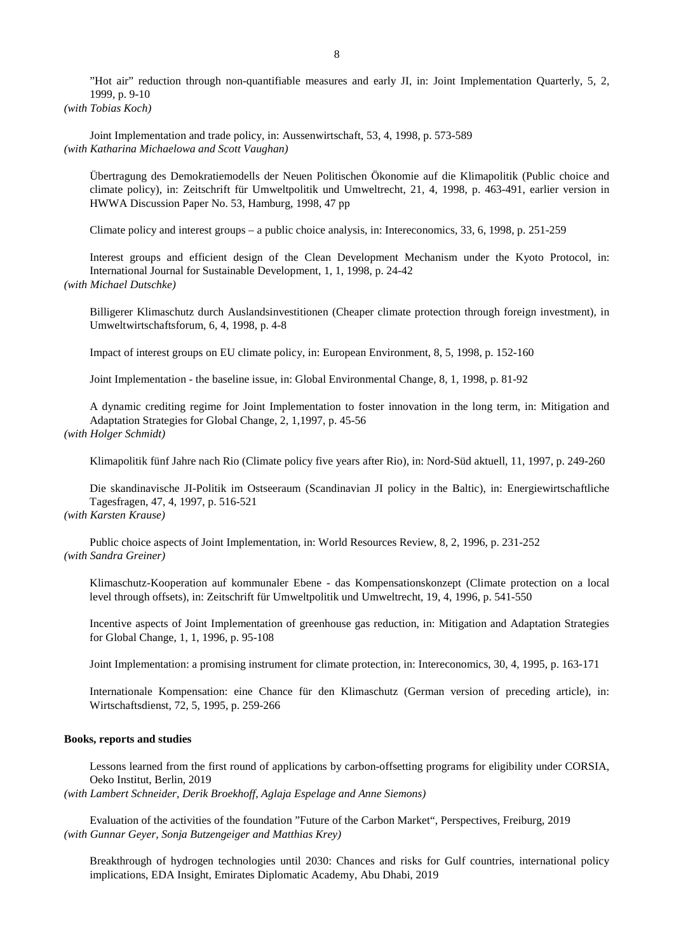"Hot air" reduction through non-quantifiable measures and early JI, in: Joint Implementation Quarterly, 5, 2, 1999, p. 9-10

*(with Tobias Koch)*

Joint Implementation and trade policy, in: Aussenwirtschaft, 53, 4, 1998, p. 573-589 *(with Katharina Michaelowa and Scott Vaughan)*

Übertragung des Demokratiemodells der Neuen Politischen Ökonomie auf die Klimapolitik (Public choice and climate policy), in: Zeitschrift für Umweltpolitik und Umweltrecht, 21, 4, 1998, p. 463-491, earlier version in HWWA Discussion Paper No. 53, Hamburg, 1998, 47 pp

Climate policy and interest groups – a public choice analysis, in: Intereconomics, 33, 6, 1998, p. 251-259

Interest groups and efficient design of the Clean Development Mechanism under the Kyoto Protocol, in: International Journal for Sustainable Development, 1, 1, 1998, p. 24-42 *(with Michael Dutschke)*

Billigerer Klimaschutz durch Auslandsinvestitionen (Cheaper climate protection through foreign investment), in Umweltwirtschaftsforum, 6, 4, 1998, p. 4-8

Impact of interest groups on EU climate policy, in: European Environment, 8, 5, 1998, p. 152-160

Joint Implementation - the baseline issue, in: Global Environmental Change, 8, 1, 1998, p. 81-92

A dynamic crediting regime for Joint Implementation to foster innovation in the long term, in: Mitigation and Adaptation Strategies for Global Change, 2, 1,1997, p. 45-56 *(with Holger Schmidt)* 

Klimapolitik fünf Jahre nach Rio (Climate policy five years after Rio), in: Nord-Süd aktuell, 11, 1997, p. 249-260

Die skandinavische JI-Politik im Ostseeraum (Scandinavian JI policy in the Baltic), in: Energiewirtschaftliche Tagesfragen, 47, 4, 1997, p. 516-521

# *(with Karsten Krause)*

Public choice aspects of Joint Implementation, in: World Resources Review, 8, 2, 1996, p. 231-252 *(with Sandra Greiner)* 

Klimaschutz-Kooperation auf kommunaler Ebene - das Kompensationskonzept (Climate protection on a local level through offsets), in: Zeitschrift für Umweltpolitik und Umweltrecht, 19, 4, 1996, p. 541-550

Incentive aspects of Joint Implementation of greenhouse gas reduction, in: Mitigation and Adaptation Strategies for Global Change, 1, 1, 1996, p. 95-108

Joint Implementation: a promising instrument for climate protection, in: Intereconomics, 30, 4, 1995, p. 163-171

Internationale Kompensation: eine Chance für den Klimaschutz (German version of preceding article), in: Wirtschaftsdienst, 72, 5, 1995, p. 259-266

### **Books, reports and studies**

Lessons learned from the first round of applications by carbon-offsetting programs for eligibility under CORSIA, Oeko Institut, Berlin, 2019

*(with Lambert Schneider, Derik Broekhoff, Aglaja Espelage and Anne Siemons)*

Evaluation of the activities of the foundation "Future of the Carbon Market", Perspectives, Freiburg, 2019 *(with Gunnar Geyer, Sonja Butzengeiger and Matthias Krey)*

Breakthrough of hydrogen technologies until 2030: Chances and risks for Gulf countries, international policy implications, EDA Insight, Emirates Diplomatic Academy, Abu Dhabi, 2019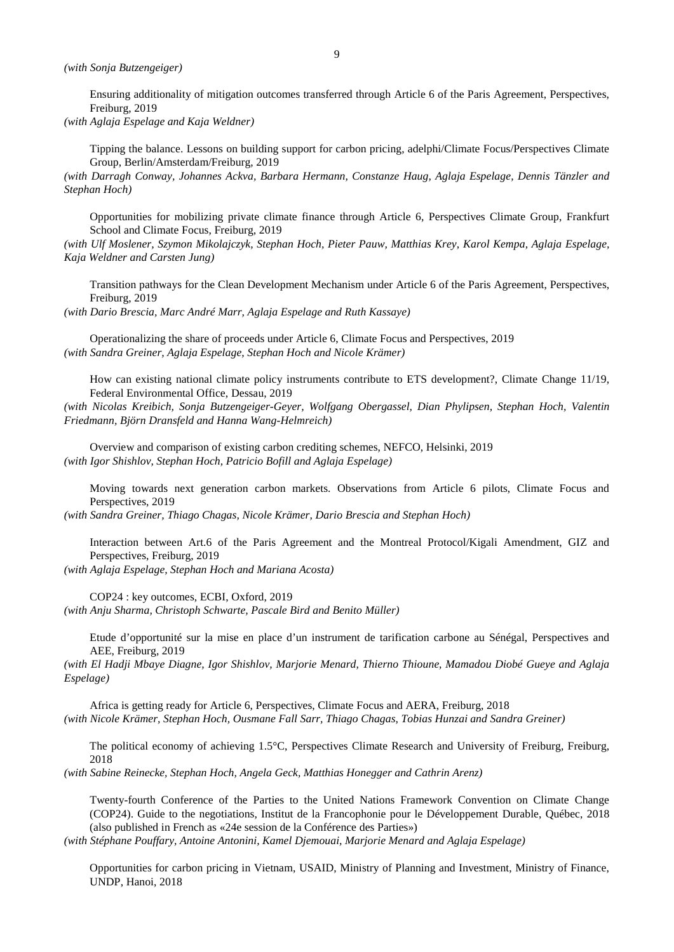Ensuring additionality of mitigation outcomes transferred through Article 6 of the Paris Agreement, Perspectives, Freiburg, 2019

*(with Aglaja Espelage and Kaja Weldner)*

Tipping the balance. Lessons on building support for carbon pricing, adelphi/Climate Focus/Perspectives Climate Group, Berlin/Amsterdam/Freiburg, 2019

*(with Darragh Conway, Johannes Ackva, Barbara Hermann, Constanze Haug, Aglaja Espelage, Dennis Tänzler and Stephan Hoch)*

Opportunities for mobilizing private climate finance through Article 6, Perspectives Climate Group, Frankfurt School and Climate Focus, Freiburg, 2019

*(with Ulf Moslener, Szymon Mikolajczyk, Stephan Hoch, Pieter Pauw, Matthias Krey, Karol Kempa, Aglaja Espelage, Kaja Weldner and Carsten Jung)*

Transition pathways for the Clean Development Mechanism under Article 6 of the Paris Agreement, Perspectives, Freiburg, 2019

*(with Dario Brescia, Marc André Marr, Aglaja Espelage and Ruth Kassaye)*

Operationalizing the share of proceeds under Article 6, Climate Focus and Perspectives, 2019 *(with Sandra Greiner, Aglaja Espelage, Stephan Hoch and Nicole Krämer)*

How can existing national climate policy instruments contribute to ETS development?, Climate Change 11/19, Federal Environmental Office, Dessau, 2019

*(with Nicolas Kreibich, Sonja Butzengeiger-Geyer, Wolfgang Obergassel, Dian Phylipsen, Stephan Hoch, Valentin Friedmann, Björn Dransfeld and Hanna Wang-Helmreich)*

Overview and comparison of existing carbon crediting schemes, NEFCO, Helsinki, 2019 *(with Igor Shishlov, Stephan Hoch, Patricio Bofill and Aglaja Espelage)*

Moving towards next generation carbon markets. Observations from Article 6 pilots, Climate Focus and Perspectives, 2019

*(with Sandra Greiner, Thiago Chagas, Nicole Krämer, Dario Brescia and Stephan Hoch)*

Interaction between Art.6 of the Paris Agreement and the Montreal Protocol/Kigali Amendment, GIZ and Perspectives, Freiburg, 2019

*(with Aglaja Espelage, Stephan Hoch and Mariana Acosta)*

COP24 : key outcomes, ECBI, Oxford, 2019 *(with Anju Sharma, Christoph Schwarte, Pascale Bird and Benito Müller)*

Etude d'opportunité sur la mise en place d'un instrument de tarification carbone au Sénégal, Perspectives and AEE, Freiburg, 2019

*(with El Hadji Mbaye Diagne, Igor Shishlov, Marjorie Menard, Thierno Thioune, Mamadou Diobé Gueye and Aglaja Espelage)*

Africa is getting ready for Article 6, Perspectives, Climate Focus and AERA, Freiburg, 2018 *(with Nicole Krämer, Stephan Hoch, Ousmane Fall Sarr, Thiago Chagas, Tobias Hunzai and Sandra Greiner)*

The political economy of achieving 1.5°C, Perspectives Climate Research and University of Freiburg, Freiburg, 2018

*(with Sabine Reinecke, Stephan Hoch, Angela Geck, Matthias Honegger and Cathrin Arenz)*

Twenty-fourth Conference of the Parties to the United Nations Framework Convention on Climate Change (COP24). Guide to the negotiations, Institut de la Francophonie pour le Développement Durable, Québec, 2018 (also published in French as «24e session de la Conférence des Parties»)

*(with Stéphane Pouffary, Antoine Antonini, Kamel Djemouai, Marjorie Menard and Aglaja Espelage)*

Opportunities for carbon pricing in Vietnam, USAID, Ministry of Planning and Investment, Ministry of Finance, UNDP, Hanoi, 2018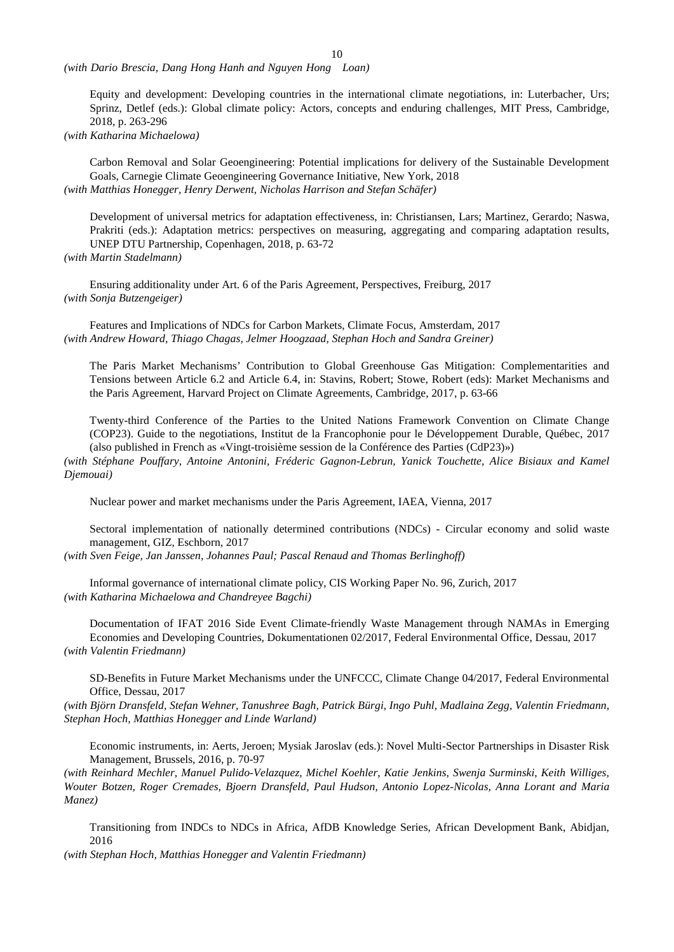*(with Dario Brescia, Dang Hong Hanh and Nguyen Hong Loan)*

Equity and development: Developing countries in the international climate negotiations, in: Luterbacher, Urs; Sprinz, Detlef (eds.): Global climate policy: Actors, concepts and enduring challenges, MIT Press, Cambridge, 2018, p. 263-296

*(with Katharina Michaelowa)*

Carbon Removal and Solar Geoengineering: Potential implications for delivery of the Sustainable Development Goals, Carnegie Climate Geoengineering Governance Initiative, New York, 2018 *(with Matthias Honegger, Henry Derwent, Nicholas Harrison and Stefan Schäfer)*

Development of universal metrics for adaptation effectiveness, in: Christiansen, Lars; Martinez, Gerardo; Naswa, Prakriti (eds.): Adaptation metrics: perspectives on measuring, aggregating and comparing adaptation results, UNEP DTU Partnership, Copenhagen, 2018, p. 63-72

*(with Martin Stadelmann)*

Ensuring additionality under Art. 6 of the Paris Agreement, Perspectives, Freiburg, 2017 *(with Sonja Butzengeiger)*

Features and Implications of NDCs for Carbon Markets, Climate Focus, Amsterdam, 2017 *(with Andrew Howard, Thiago Chagas, Jelmer Hoogzaad, Stephan Hoch and Sandra Greiner)*

The Paris Market Mechanisms' Contribution to Global Greenhouse Gas Mitigation: Complementarities and Tensions between Article 6.2 and Article 6.4, in: Stavins, Robert; Stowe, Robert (eds): Market Mechanisms and the Paris Agreement, Harvard Project on Climate Agreements, Cambridge, 2017, p. 63-66

Twenty-third Conference of the Parties to the United Nations Framework Convention on Climate Change (COP23). Guide to the negotiations, Institut de la Francophonie pour le Développement Durable, Québec, 2017 (also published in French as «Vingt-troisième session de la Conférence des Parties (CdP23)»)

*(with Stéphane Pouffary, Antoine Antonini, Fréderic Gagnon-Lebrun, Yanick Touchette, Alice Bisiaux and Kamel Djemouai)*

Nuclear power and market mechanisms under the Paris Agreement, IAEA, Vienna, 2017

Sectoral implementation of nationally determined contributions (NDCs) - Circular economy and solid waste management, GIZ, Eschborn, 2017

*(with Sven Feige, Jan Janssen, Johannes Paul; Pascal Renaud and Thomas Berlinghoff)*

Informal governance of international climate policy, CIS Working Paper No. 96, Zurich, 2017 *(with Katharina Michaelowa and Chandreyee Bagchi)*

Documentation of IFAT 2016 Side Event Climate-friendly Waste Management through NAMAs in Emerging Economies and Developing Countries, Dokumentationen 02/2017, Federal Environmental Office, Dessau, 2017 *(with Valentin Friedmann)*

SD-Benefits in Future Market Mechanisms under the UNFCCC, Climate Change 04/2017, Federal Environmental Office, Dessau, 2017

*(with Björn Dransfeld, Stefan Wehner, Tanushree Bagh, Patrick Bürgi, Ingo Puhl, Madlaina Zegg, Valentin Friedmann, Stephan Hoch, Matthias Honegger and Linde Warland)*

Economic instruments, in: Aerts, Jeroen; Mysiak Jaroslav (eds.): Novel Multi-Sector Partnerships in Disaster Risk Management, Brussels, 2016, p. 70-97

*(with Reinhard Mechler, Manuel Pulido-Velazquez, Michel Koehler, Katie Jenkins, Swenja Surminski, Keith Williges, Wouter Botzen, Roger Cremades, Bjoern Dransfeld, Paul Hudson, Antonio Lopez-Nicolas, Anna Lorant and Maria Manez)*

Transitioning from INDCs to NDCs in Africa, AfDB Knowledge Series, African Development Bank, Abidjan, 2016

*(with Stephan Hoch, Matthias Honegger and Valentin Friedmann)*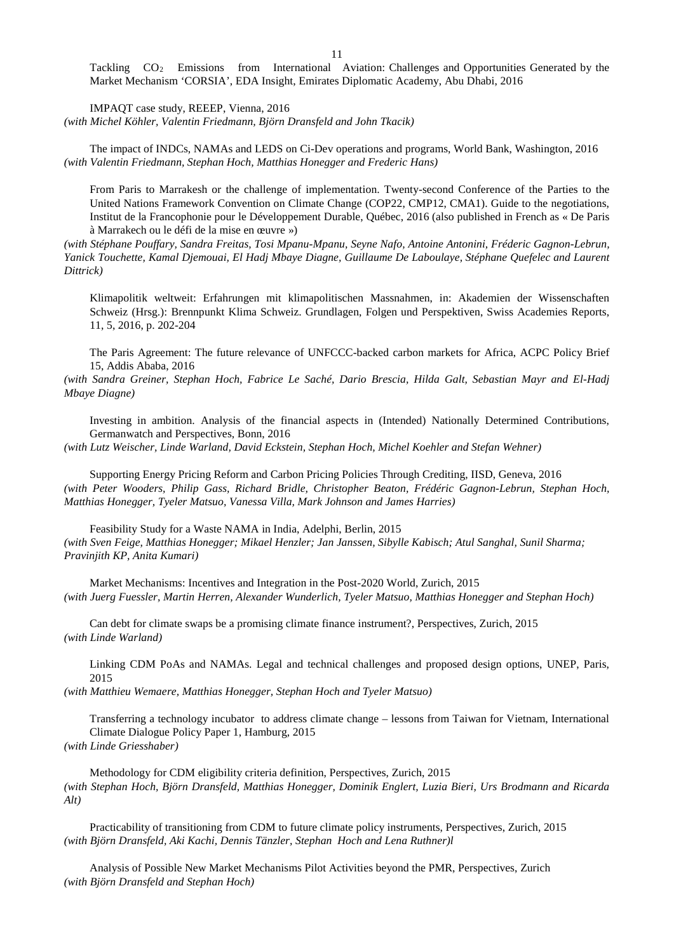Tackling CO<sub>2</sub> Emissions from International Aviation: Challenges and Opportunities Generated by the Market Mechanism 'CORSIA', EDA Insight, Emirates Diplomatic Academy, Abu Dhabi, 2016

IMPAQT case study, REEEP, Vienna, 2016 *(with Michel Köhler, Valentin Friedmann, Björn Dransfeld and John Tkacik)*

The impact of INDCs, NAMAs and LEDS on Ci-Dev operations and programs, World Bank, Washington, 2016 *(with Valentin Friedmann, Stephan Hoch, Matthias Honegger and Frederic Hans)*

From Paris to Marrakesh or the challenge of implementation. Twenty-second Conference of the Parties to the United Nations Framework Convention on Climate Change (COP22, CMP12, CMA1). Guide to the negotiations, Institut de la Francophonie pour le Développement Durable, Québec, 2016 (also published in French as « De Paris à Marrakech ou le défi de la mise en œuvre »)

*(with Stéphane Pouffary, Sandra Freitas, Tosi Mpanu-Mpanu, Seyne Nafo, Antoine Antonini, Fréderic Gagnon-Lebrun, Yanick Touchette, Kamal Djemouai, El Hadj Mbaye Diagne, Guillaume De Laboulaye, Stéphane Quefelec and Laurent Dittrick)*

Klimapolitik weltweit: Erfahrungen mit klimapolitischen Massnahmen, in: Akademien der Wissenschaften Schweiz (Hrsg.): Brennpunkt Klima Schweiz. Grundlagen, Folgen und Perspektiven, Swiss Academies Reports, 11, 5, 2016, p. 202-204

The Paris Agreement: The future relevance of UNFCCC-backed carbon markets for Africa, ACPC Policy Brief 15, Addis Ababa, 2016

*(with Sandra Greiner, Stephan Hoch, Fabrice Le Saché, Dario Brescia, Hilda Galt, Sebastian Mayr and El-Hadj Mbaye Diagne)*

Investing in ambition. Analysis of the financial aspects in (Intended) Nationally Determined Contributions, Germanwatch and Perspectives, Bonn, 2016

*(with Lutz Weischer, Linde Warland, David Eckstein, Stephan Hoch, Michel Koehler and Stefan Wehner)*

Supporting Energy Pricing Reform and Carbon Pricing Policies Through Crediting, IISD, Geneva, 2016 *(with Peter Wooders, Philip Gass, Richard Bridle, Christopher Beaton, Frédéric Gagnon-Lebrun, Stephan Hoch, Matthias Honegger, Tyeler Matsuo, Vanessa Villa, Mark Johnson and James Harries)*

Feasibility Study for a Waste NAMA in India, Adelphi, Berlin, 2015 *(with Sven Feige, Matthias Honegger; Mikael Henzler; Jan Janssen, Sibylle Kabisch; Atul Sanghal, Sunil Sharma; Pravinjith KP, Anita Kumari)*

Market Mechanisms: Incentives and Integration in the Post-2020 World, Zurich, 2015 *(with Juerg Fuessler, Martin Herren, Alexander Wunderlich, Tyeler Matsuo, Matthias Honegger and Stephan Hoch)*

Can debt for climate swaps be a promising climate finance instrument?, Perspectives, Zurich, 2015 *(with Linde Warland)*

Linking CDM PoAs and NAMAs. Legal and technical challenges and proposed design options, UNEP, Paris, 2015

*(with Matthieu Wemaere, Matthias Honegger, Stephan Hoch and Tyeler Matsuo)*

Transferring a technology incubator to address climate change – lessons from Taiwan for Vietnam, International Climate Dialogue Policy Paper 1, Hamburg, 2015

*(with Linde Griesshaber)*

Methodology for CDM eligibility criteria definition, Perspectives, Zurich, 2015 *(with Stephan Hoch, Björn Dransfeld, Matthias Honegger, Dominik Englert, Luzia Bieri, Urs Brodmann and Ricarda Alt)*

Practicability of transitioning from CDM to future climate policy instruments, Perspectives, Zurich, 2015 *(with Björn Dransfeld, Aki Kachi, Dennis Tänzler, Stephan Hoch and Lena Ruthner)l*

Analysis of Possible New Market Mechanisms Pilot Activities beyond the PMR, Perspectives, Zurich *(with Björn Dransfeld and Stephan Hoch)*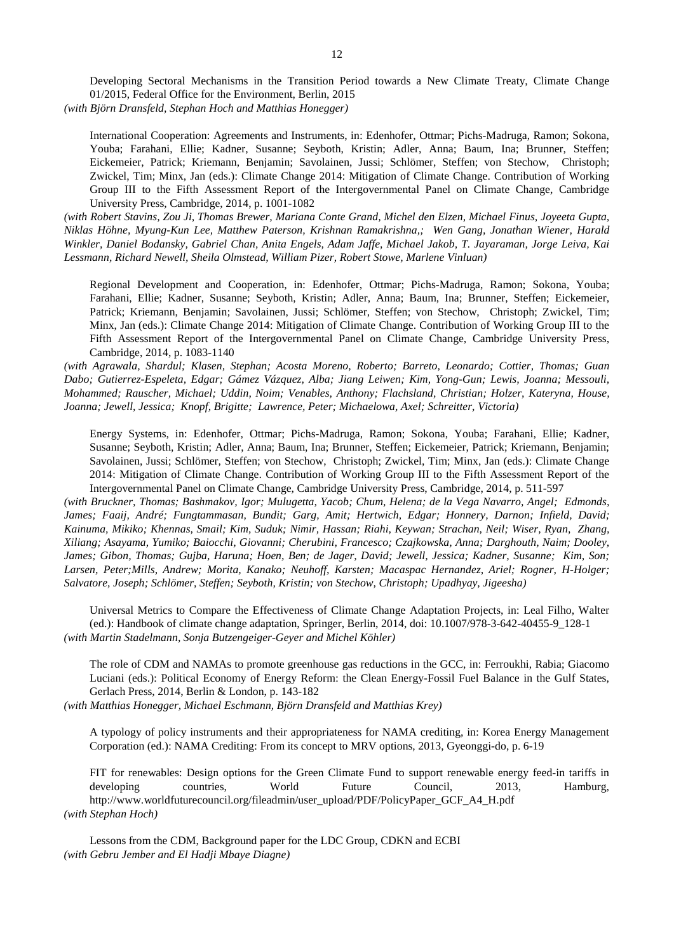Developing Sectoral Mechanisms in the Transition Period towards a New Climate Treaty, Climate Change 01/2015, Federal Office for the Environment, Berlin, 2015

*(with Björn Dransfeld, Stephan Hoch and Matthias Honegger)*

International Cooperation: Agreements and Instruments, in: Edenhofer, Ottmar; Pichs-Madruga, Ramon; Sokona, Youba; Farahani, Ellie; Kadner, Susanne; Seyboth, Kristin; Adler, Anna; Baum, Ina; Brunner, Steffen; Eickemeier, Patrick; Kriemann, Benjamin; Savolainen, Jussi; Schlömer, Steffen; von Stechow, Christoph; Zwickel, Tim; Minx, Jan (eds.): Climate Change 2014: Mitigation of Climate Change. Contribution of Working Group III to the Fifth Assessment Report of the Intergovernmental Panel on Climate Change, Cambridge University Press, Cambridge, 2014, p. 1001-1082

*(with Robert Stavins, Zou Ji, Thomas Brewer, Mariana Conte Grand, Michel den Elzen, Michael Finus, Joyeeta Gupta, Niklas Höhne, Myung-Kun Lee, Matthew Paterson, Krishnan Ramakrishna,; Wen Gang, Jonathan Wiener, Harald Winkler, Daniel Bodansky, Gabriel Chan, Anita Engels, Adam Jaffe, Michael Jakob, T. Jayaraman, Jorge Leiva, Kai Lessmann, Richard Newell, Sheila Olmstead, William Pizer, Robert Stowe, Marlene Vinluan)*

Regional Development and Cooperation, in: Edenhofer, Ottmar; Pichs-Madruga, Ramon; Sokona, Youba; Farahani, Ellie; Kadner, Susanne; Seyboth, Kristin; Adler, Anna; Baum, Ina; Brunner, Steffen; Eickemeier, Patrick; Kriemann, Benjamin; Savolainen, Jussi; Schlömer, Steffen; von Stechow, Christoph; Zwickel, Tim; Minx, Jan (eds.): Climate Change 2014: Mitigation of Climate Change. Contribution of Working Group III to the Fifth Assessment Report of the Intergovernmental Panel on Climate Change, Cambridge University Press, Cambridge, 2014, p. 1083-1140

*(with Agrawala, Shardul; Klasen, Stephan; Acosta Moreno, Roberto; Barreto, Leonardo; Cottier, Thomas; Guan Dabo; Gutierrez-Espeleta, Edgar; Gámez Vázquez, Alba; Jiang Leiwen; Kim, Yong-Gun; Lewis, Joanna; Messouli, Mohammed; Rauscher, Michael; Uddin, Noim; Venables, Anthony; Flachsland, Christian; Holzer, Kateryna, House, Joanna; Jewell, Jessica; Knopf, Brigitte; Lawrence, Peter; Michaelowa, Axel; Schreitter, Victoria)*

Energy Systems, in: Edenhofer, Ottmar; Pichs-Madruga, Ramon; Sokona, Youba; Farahani, Ellie; Kadner, Susanne; Seyboth, Kristin; Adler, Anna; Baum, Ina; Brunner, Steffen; Eickemeier, Patrick; Kriemann, Benjamin; Savolainen, Jussi; Schlömer, Steffen; von Stechow, Christoph; Zwickel, Tim; Minx, Jan (eds.): Climate Change 2014: Mitigation of Climate Change. Contribution of Working Group III to the Fifth Assessment Report of the Intergovernmental Panel on Climate Change, Cambridge University Press, Cambridge, 2014, p. 511-597

*(with Bruckner, Thomas; Bashmakov, Igor; Mulugetta, Yacob; Chum, Helena; de la Vega Navarro, Angel; Edmonds, James; Faaij, André; Fungtammasan, Bundit; Garg, Amit; Hertwich, Edgar; Honnery, Darnon; Infield, David; Kainuma, Mikiko; Khennas, Smail; Kim, Suduk; Nimir, Hassan; Riahi, Keywan; Strachan, Neil; Wiser, Ryan, Zhang, Xiliang; Asayama, Yumiko; Baiocchi, Giovanni; Cherubini, Francesco; Czajkowska, Anna; Darghouth, Naim; Dooley, James; Gibon, Thomas; Gujba, Haruna; Hoen, Ben; de Jager, David; Jewell, Jessica; Kadner, Susanne; Kim, Son; Larsen, Peter;Mills, Andrew; Morita, Kanako; Neuhoff, Karsten; Macaspac Hernandez, Ariel; Rogner, H-Holger; Salvatore, Joseph; Schlömer, Steffen; Seyboth, Kristin; von Stechow, Christoph; Upadhyay, Jigeesha)*

Universal Metrics to Compare the Effectiveness of Climate Change Adaptation Projects, in: Leal Filho, Walter (ed.): Handbook of climate change adaptation, Springer, Berlin, 2014, doi: 10.1007/978-3-642-40455-9\_128-1 *(with Martin Stadelmann, Sonja Butzengeiger-Geyer and Michel Köhler)*

The role of CDM and NAMAs to promote greenhouse gas reductions in the GCC, in: Ferroukhi, Rabia; Giacomo Luciani (eds.): Political Economy of Energy Reform: the Clean Energy-Fossil Fuel Balance in the Gulf States, Gerlach Press, 2014, Berlin & London, p. 143-182

*(with Matthias Honegger, Michael Eschmann, Björn Dransfeld and Matthias Krey)*

A typology of policy instruments and their appropriateness for NAMA crediting, in: Korea Energy Management Corporation (ed.): NAMA Crediting: From its concept to MRV options, 2013, Gyeonggi-do, p. 6-19

FIT for renewables: Design options for the Green Climate Fund to support renewable energy feed-in tariffs in developing countries, World Future Council, 2013, Hamburg, http://www.worldfuturecouncil.org/fileadmin/user\_upload/PDF/PolicyPaper\_GCF\_A4\_H.pdf *(with Stephan Hoch)*

Lessons from the CDM, Background paper for the LDC Group, CDKN and ECBI *(with Gebru Jember and El Hadji Mbaye Diagne)*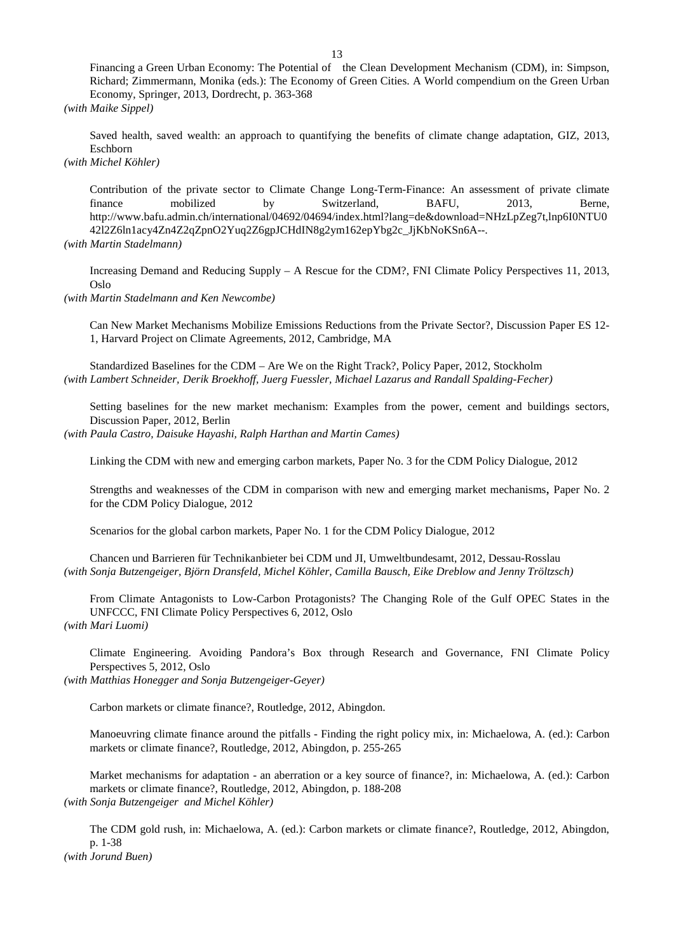Financing a Green Urban Economy: The Potential of the Clean Development Mechanism (CDM), in: Simpson, Richard; Zimmermann, Monika (eds.): The Economy of Green Cities. A World compendium on the Green Urban Economy, Springer, 2013, Dordrecht, p. 363-368

*(with Maike Sippel)*

Saved health, saved wealth: an approach to quantifying the benefits of climate change adaptation, GIZ, 2013, Eschborn

*(with Michel Köhler)*

Contribution of the private sector to Climate Change Long-Term-Finance: An assessment of private climate mobilized by Switzerland, BAFU, 2013, Berne, finance mobilized by Switzerland, BAFU, 2013, Berne, http://www.bafu.admin.ch/international/04692/04694/index.html?lang=de&download=NHzLpZeg7t,lnp6I0NTU0 42l2Z6ln1acy4Zn4Z2qZpnO2Yuq2Z6gpJCHdIN8g2ym162epYbg2c\_JjKbNoKSn6A--. *(with Martin Stadelmann)*

Increasing Demand and Reducing Supply – A Rescue for the CDM?, FNI Climate Policy Perspectives 11, 2013, Oslo

*(with Martin Stadelmann and Ken Newcombe)*

Can New Market Mechanisms Mobilize Emissions Reductions from the Private Sector?, Discussion Paper ES 12- 1, Harvard Project on Climate Agreements, 2012, Cambridge, MA

Standardized Baselines for the CDM – Are We on the Right Track?, Policy Paper, 2012, Stockholm *(with Lambert Schneider, Derik Broekhoff, Juerg Fuessler, Michael Lazarus and Randall Spalding-Fecher)*

Setting baselines for the new market mechanism: Examples from the power, cement and buildings sectors, Discussion Paper, 2012, Berlin

*(with Paula Castro, Daisuke Hayashi, Ralph Harthan and Martin Cames)*

Linking the CDM with new and emerging carbon markets, Paper No. 3 for the CDM Policy Dialogue, 2012

Strengths and weaknesses of the CDM in comparison with new and emerging market mechanisms, Paper No. 2 for the CDM Policy Dialogue, 2012

Scenarios for the global carbon markets, Paper No. 1 for the CDM Policy Dialogue, 2012

Chancen und Barrieren für Technikanbieter bei CDM und JI, Umweltbundesamt, 2012, Dessau-Rosslau *(with Sonja Butzengeiger, Björn Dransfeld, Michel Köhler, Camilla Bausch, Eike Dreblow and Jenny Tröltzsch)*

From Climate Antagonists to Low-Carbon Protagonists? The Changing Role of the Gulf OPEC States in the UNFCCC, FNI Climate Policy Perspectives 6, 2012, Oslo *(with Mari Luomi)*

Climate Engineering. Avoiding Pandora's Box through Research and Governance, FNI Climate Policy Perspectives 5, 2012, Oslo

*(with Matthias Honegger and Sonja Butzengeiger-Geyer)*

Carbon markets or climate finance?, Routledge, 2012, Abingdon.

Manoeuvring climate finance around the pitfalls - Finding the right policy mix, in: Michaelowa, A. (ed.): Carbon markets or climate finance?, Routledge, 2012, Abingdon, p. 255-265

Market mechanisms for adaptation - an aberration or a key source of finance?, in: Michaelowa, A. (ed.): Carbon markets or climate finance?, Routledge, 2012, Abingdon, p. 188-208 *(with Sonja Butzengeiger and Michel Köhler)*

The CDM gold rush, in: Michaelowa, A. (ed.): Carbon markets or climate finance?, Routledge, 2012, Abingdon, p. 1-38 *(with Jorund Buen)*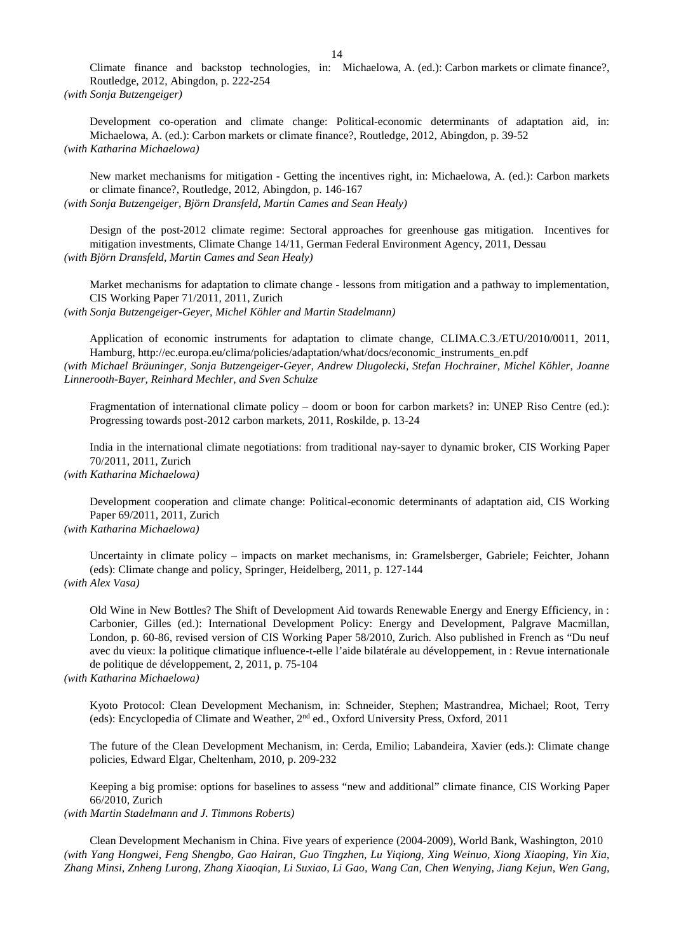Climate finance and backstop technologies, in: Michaelowa, A. (ed.): Carbon markets or climate finance?, Routledge, 2012, Abingdon, p. 222-254 *(with Sonja Butzengeiger)*

Development co-operation and climate change: Political-economic determinants of adaptation aid, in: Michaelowa, A. (ed.): Carbon markets or climate finance?, Routledge, 2012, Abingdon, p. 39-52 *(with Katharina Michaelowa)*

New market mechanisms for mitigation - Getting the incentives right, in: Michaelowa, A. (ed.): Carbon markets or climate finance?, Routledge, 2012, Abingdon, p. 146-167 *(with Sonja Butzengeiger, Björn Dransfeld, Martin Cames and Sean Healy)*

Design of the post-2012 climate regime: Sectoral approaches for greenhouse gas mitigation. Incentives for mitigation investments, Climate Change 14/11, German Federal Environment Agency, 2011, Dessau *(with Björn Dransfeld, Martin Cames and Sean Healy)*

Market mechanisms for adaptation to climate change - lessons from mitigation and a pathway to implementation, CIS Working Paper 71/2011, 2011, Zurich

*(with Sonja Butzengeiger-Geyer, Michel Köhler and Martin Stadelmann)*

Application of economic instruments for adaptation to climate change, CLIMA.C.3./ETU/2010/0011, 2011, Hamburg, http://ec.europa.eu/clima/policies/adaptation/what/docs/economic\_instruments\_en.pdf *(with Michael Bräuninger, Sonja Butzengeiger-Geyer, Andrew Dlugolecki, Stefan Hochrainer, Michel Köhler, Joanne Linnerooth-Bayer, Reinhard Mechler, and Sven Schulze*

Fragmentation of international climate policy – doom or boon for carbon markets? in: UNEP Riso Centre (ed.): Progressing towards post-2012 carbon markets, 2011, Roskilde, p. 13-24

India in the international climate negotiations: from traditional nay-sayer to dynamic broker, CIS Working Paper 70/2011, 2011, Zurich

## *(with Katharina Michaelowa)*

Development cooperation and climate change: Political-economic determinants of adaptation aid, CIS Working Paper 69/2011, 2011, Zurich

# *(with Katharina Michaelowa)*

Uncertainty in climate policy – impacts on market mechanisms, in: Gramelsberger, Gabriele; Feichter, Johann (eds): Climate change and policy, Springer, Heidelberg, 2011, p. 127-144 *(with Alex Vasa)*

Old Wine in New Bottles? The Shift of Development Aid towards Renewable Energy and Energy Efficiency, in : Carbonier, Gilles (ed.): International Development Policy: Energy and Development, Palgrave Macmillan, London, p. 60-86, revised version of CIS Working Paper 58/2010, Zurich. Also published in French as "Du neuf avec du vieux: la politique climatique influence-t-elle l'aide bilatérale au développement, in : Revue internationale de politique de développement, 2, 2011, p. 75-104

### *(with Katharina Michaelowa)*

Kyoto Protocol: Clean Development Mechanism, in: Schneider, Stephen; Mastrandrea, Michael; Root, Terry (eds): Encyclopedia of Climate and Weather, 2nd ed., Oxford University Press, Oxford, 2011

The future of the Clean Development Mechanism, in: Cerda, Emilio; Labandeira, Xavier (eds.): Climate change policies, Edward Elgar, Cheltenham, 2010, p. 209-232

Keeping a big promise: options for baselines to assess "new and additional" climate finance, CIS Working Paper 66/2010, Zurich

*(with Martin Stadelmann and J. Timmons Roberts)*

Clean Development Mechanism in China. Five years of experience (2004-2009), World Bank, Washington, 2010 *(with Yang Hongwei, Feng Shengbo, Gao Hairan, Guo Tingzhen, Lu Yiqiong, Xing Weinuo, Xiong Xiaoping, Yin Xia, Zhang Minsi, Znheng Lurong, Zhang Xiaoqian, Li Suxiao, Li Gao, Wang Can, Chen Wenying, Jiang Kejun, Wen Gang,*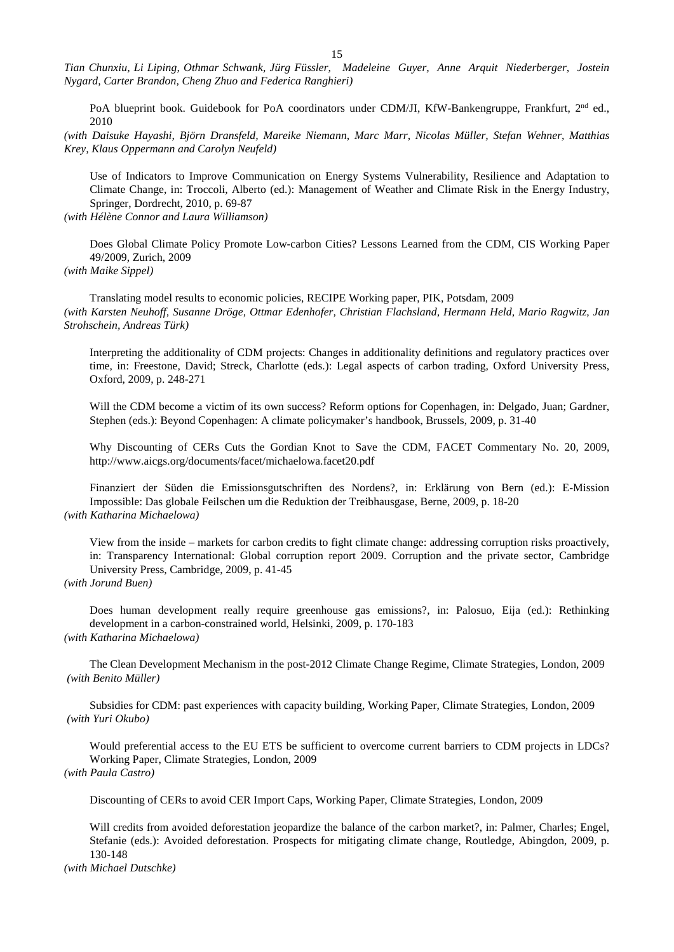*Tian Chunxiu, Li Liping, Othmar Schwank, Jürg Füssler, Madeleine Guyer, Anne Arquit Niederberger, Jostein Nygard, Carter Brandon, Cheng Zhuo and Federica Ranghieri)*

PoA blueprint book. Guidebook for PoA coordinators under CDM/JI, KfW-Bankengruppe, Frankfurt, 2<sup>nd</sup> ed., 2010

*(with Daisuke Hayashi, Björn Dransfeld, Mareike Niemann, Marc Marr, Nicolas Müller, Stefan Wehner, Matthias Krey, Klaus Oppermann and Carolyn Neufeld)*

Use of Indicators to Improve Communication on Energy Systems Vulnerability, Resilience and Adaptation to Climate Change, in: Troccoli, Alberto (ed.): Management of Weather and Climate Risk in the Energy Industry, Springer, Dordrecht, 2010, p. 69-87

*(with Hélène Connor and Laura Williamson)* 

Does Global Climate Policy Promote Low-carbon Cities? Lessons Learned from the CDM, CIS Working Paper 49/2009, Zurich, 2009

*(with Maike Sippel)* 

Translating model results to economic policies, RECIPE Working paper, PIK, Potsdam, 2009 *(with Karsten Neuhoff, Susanne Dröge, Ottmar Edenhofer, Christian Flachsland, Hermann Held, Mario Ragwitz, Jan Strohschein, Andreas Türk)*

Interpreting the additionality of CDM projects: Changes in additionality definitions and regulatory practices over time, in: Freestone, David; Streck, Charlotte (eds.): Legal aspects of carbon trading, Oxford University Press, Oxford, 2009, p. 248-271

Will the CDM become a victim of its own success? Reform options for Copenhagen, in: Delgado, Juan; Gardner, Stephen (eds.): Beyond Copenhagen: A climate policymaker's handbook, Brussels, 2009, p. 31-40

Why Discounting of CERs Cuts the Gordian Knot to Save the CDM, FACET Commentary No. 20, 2009, http://www.aicgs.org/documents/facet/michaelowa.facet20.pdf

Finanziert der Süden die Emissionsgutschriften des Nordens?, in: Erklärung von Bern (ed.): E-Mission Impossible: Das globale Feilschen um die Reduktion der Treibhausgase, Berne, 2009, p. 18-20 *(with Katharina Michaelowa)*

View from the inside – markets for carbon credits to fight climate change: addressing corruption risks proactively, in: Transparency International: Global corruption report 2009. Corruption and the private sector, Cambridge University Press, Cambridge, 2009, p. 41-45

*(with Jorund Buen)*

Does human development really require greenhouse gas emissions?, in: Palosuo, Eija (ed.): Rethinking development in a carbon-constrained world, Helsinki, 2009, p. 170-183 *(with Katharina Michaelowa)*

The Clean Development Mechanism in the post-2012 Climate Change Regime, Climate Strategies, London, 2009 *(with Benito Müller)*

Subsidies for CDM: past experiences with capacity building, Working Paper, Climate Strategies, London, 2009 *(with Yuri Okubo)*

Would preferential access to the EU ETS be sufficient to overcome current barriers to CDM projects in LDCs? Working Paper, Climate Strategies, London, 2009 *(with Paula Castro)*

Discounting of CERs to avoid CER Import Caps, Working Paper, Climate Strategies, London, 2009

Will credits from avoided deforestation jeopardize the balance of the carbon market?, in: Palmer, Charles; Engel, Stefanie (eds.): Avoided deforestation. Prospects for mitigating climate change, Routledge, Abingdon, 2009, p. 130-148

*(with Michael Dutschke)*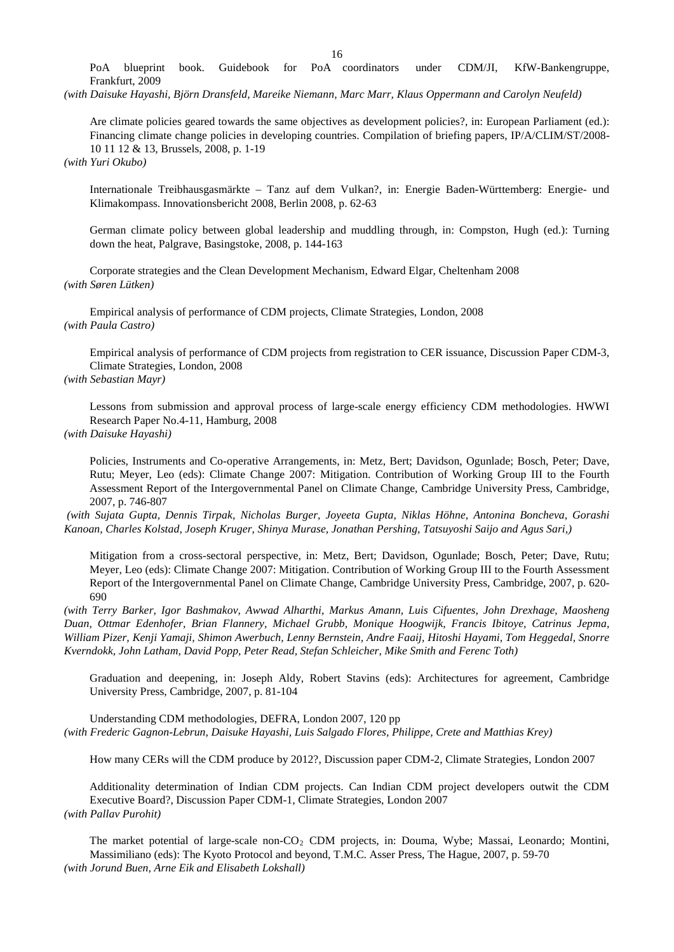16<br>PoA coordinators PoA blueprint book. Guidebook for PoA coordinators under CDM/JI, KfW-Bankengruppe, Frankfurt, 2009

*(with Daisuke Hayashi, Björn Dransfeld, Mareike Niemann, Marc Marr, Klaus Oppermann and Carolyn Neufeld)*

Are climate policies geared towards the same objectives as development policies?, in: European Parliament (ed.): Financing climate change policies in developing countries. Compilation of briefing papers, IP/A/CLIM/ST/2008- 10 11 12 & 13, Brussels, 2008, p. 1-19

*(with Yuri Okubo)*

Internationale Treibhausgasmärkte – Tanz auf dem Vulkan?, in: Energie Baden-Württemberg: Energie- und Klimakompass. Innovationsbericht 2008, Berlin 2008, p. 62-63

German climate policy between global leadership and muddling through, in: Compston, Hugh (ed.): Turning down the heat, Palgrave, Basingstoke, 2008, p. 144-163

Corporate strategies and the Clean Development Mechanism, Edward Elgar, Cheltenham 2008 *(with Søren Lütken)*

Empirical analysis of performance of CDM projects, Climate Strategies, London, 2008 *(with Paula Castro)*

Empirical analysis of performance of CDM projects from registration to CER issuance, Discussion Paper CDM-3, Climate Strategies, London, 2008

*(with Sebastian Mayr)*

Lessons from submission and approval process of large-scale energy efficiency CDM methodologies. HWWI Research Paper No.4-11, Hamburg, 2008

## *(with Daisuke Hayashi)*

Policies, Instruments and Co-operative Arrangements, in: Metz, Bert; Davidson, Ogunlade; Bosch, Peter; Dave, Rutu; Meyer, Leo (eds): Climate Change 2007: Mitigation. Contribution of Working Group III to the Fourth Assessment Report of the Intergovernmental Panel on Climate Change, Cambridge University Press, Cambridge, 2007, p. 746-807

*(with Sujata Gupta, Dennis Tirpak, Nicholas Burger, Joyeeta Gupta, Niklas Höhne, Antonina Boncheva, Gorashi Kanoan, Charles Kolstad, Joseph Kruger, Shinya Murase, Jonathan Pershing, Tatsuyoshi Saijo and Agus Sari,)*

Mitigation from a cross-sectoral perspective, in: Metz, Bert; Davidson, Ogunlade; Bosch, Peter; Dave, Rutu; Meyer, Leo (eds): Climate Change 2007: Mitigation. Contribution of Working Group III to the Fourth Assessment Report of the Intergovernmental Panel on Climate Change, Cambridge University Press, Cambridge, 2007, p. 620- 690

*(with Terry Barker, Igor Bashmakov, Awwad Alharthi, Markus Amann, Luis Cifuentes, John Drexhage, Maosheng Duan, Ottmar Edenhofer, Brian Flannery, Michael Grubb, Monique Hoogwijk, Francis Ibitoye, Catrinus Jepma, William Pizer, Kenji Yamaji, Shimon Awerbuch, Lenny Bernstein, Andre Faaij, Hitoshi Hayami, Tom Heggedal, Snorre Kverndokk, John Latham, David Popp, Peter Read, Stefan Schleicher, Mike Smith and Ferenc Toth)*

Graduation and deepening, in: Joseph Aldy, Robert Stavins (eds): Architectures for agreement, Cambridge University Press, Cambridge, 2007, p. 81-104

Understanding CDM methodologies, DEFRA, London 2007, 120 pp *(with Frederic Gagnon-Lebrun, Daisuke Hayashi, Luis Salgado Flores, Philippe, Crete and Matthias Krey)*

How many CERs will the CDM produce by 2012?, Discussion paper CDM-2, Climate Strategies, London 2007

Additionality determination of Indian CDM projects. Can Indian CDM project developers outwit the CDM Executive Board?, Discussion Paper CDM-1, Climate Strategies, London 2007 *(with Pallav Purohit)*

The market potential of large-scale non-CO<sub>2</sub> CDM projects, in: Douma, Wybe; Massai, Leonardo; Montini, Massimiliano (eds): The Kyoto Protocol and beyond, T.M.C. Asser Press, The Hague, 2007, p. 59-70 *(with Jorund Buen, Arne Eik and Elisabeth Lokshall)*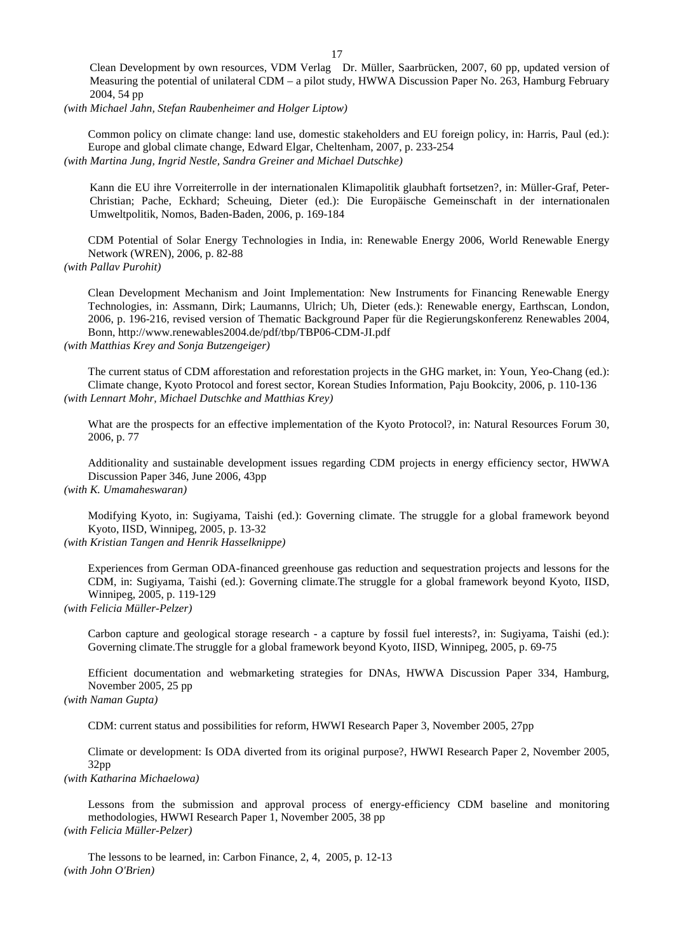Clean Development by own resources, VDM Verlag Dr. Müller, Saarbrücken, 2007, 60 pp, updated version of Measuring the potential of unilateral CDM – a pilot study, HWWA Discussion Paper No. 263, Hamburg February 2004, 54 pp

*(with Michael Jahn, Stefan Raubenheimer and Holger Liptow)*

Common policy on climate change: land use, domestic stakeholders and EU foreign policy, in: Harris, Paul (ed.): Europe and global climate change, Edward Elgar, Cheltenham, 2007, p. 233-254 *(with Martina Jung, Ingrid Nestle, Sandra Greiner and Michael Dutschke)*

Kann die EU ihre Vorreiterrolle in der internationalen Klimapolitik glaubhaft fortsetzen?, in: Müller-Graf, Peter-Christian; Pache, Eckhard; Scheuing, Dieter (ed.): Die Europäische Gemeinschaft in der internationalen Umweltpolitik, Nomos, Baden-Baden, 2006, p. 169-184

CDM Potential of Solar Energy Technologies in India, in: Renewable Energy 2006, World Renewable Energy Network (WREN), 2006, p. 82-88

*(with Pallav Purohit)*

Clean Development Mechanism and Joint Implementation: New Instruments for Financing Renewable Energy Technologies, in: Assmann, Dirk; Laumanns, Ulrich; Uh, Dieter (eds.): Renewable energy, Earthscan, London, 2006, p. 196-216, revised version of Thematic Background Paper für die Regierungskonferenz Renewables 2004, Bonn, http://www.renewables2004.de/pdf/tbp/TBP06-CDM-JI.pdf

*(with Matthias Krey and Sonja Butzengeiger)*

The current status of CDM afforestation and reforestation projects in the GHG market, in: Youn, Yeo-Chang (ed.): Climate change, Kyoto Protocol and forest sector, Korean Studies Information, Paju Bookcity, 2006, p. 110-136 *(with Lennart Mohr, Michael Dutschke and Matthias Krey)*

What are the prospects for an effective implementation of the Kyoto Protocol?, in: Natural Resources Forum 30, 2006, p. 77

Additionality and sustainable development issues regarding CDM projects in energy efficiency sector, HWWA Discussion Paper 346, June 2006, 43pp

## *(with K. Umamaheswaran)*

Modifying Kyoto, in: Sugiyama, Taishi (ed.): Governing climate. The struggle for a global framework beyond Kyoto, IISD, Winnipeg, 2005, p. 13-32

# *(with Kristian Tangen and Henrik Hasselknippe)*

Experiences from German ODA-financed greenhouse gas reduction and sequestration projects and lessons for the CDM, in: Sugiyama, Taishi (ed.): Governing climate.The struggle for a global framework beyond Kyoto, IISD, Winnipeg, 2005, p. 119-129

## *(with Felicia Müller-Pelzer)*

Carbon capture and geological storage research - a capture by fossil fuel interests?, in: Sugiyama, Taishi (ed.): Governing climate.The struggle for a global framework beyond Kyoto, IISD, Winnipeg, 2005, p. 69-75

Efficient documentation and webmarketing strategies for DNAs, HWWA Discussion Paper 334, Hamburg, November 2005, 25 pp

## *(with Naman Gupta)*

CDM: current status and possibilities for reform, HWWI Research Paper 3, November 2005, 27pp

Climate or development: Is ODA diverted from its original purpose?, HWWI Research Paper 2, November 2005, 32pp

## *(with Katharina Michaelowa)*

Lessons from the submission and approval process of energy-efficiency CDM baseline and monitoring methodologies, HWWI Research Paper 1, November 2005, 38 pp *(with Felicia Müller-Pelzer)*

The lessons to be learned, in: Carbon Finance, 2, 4, 2005, p. 12-13 *(with John O'Brien)*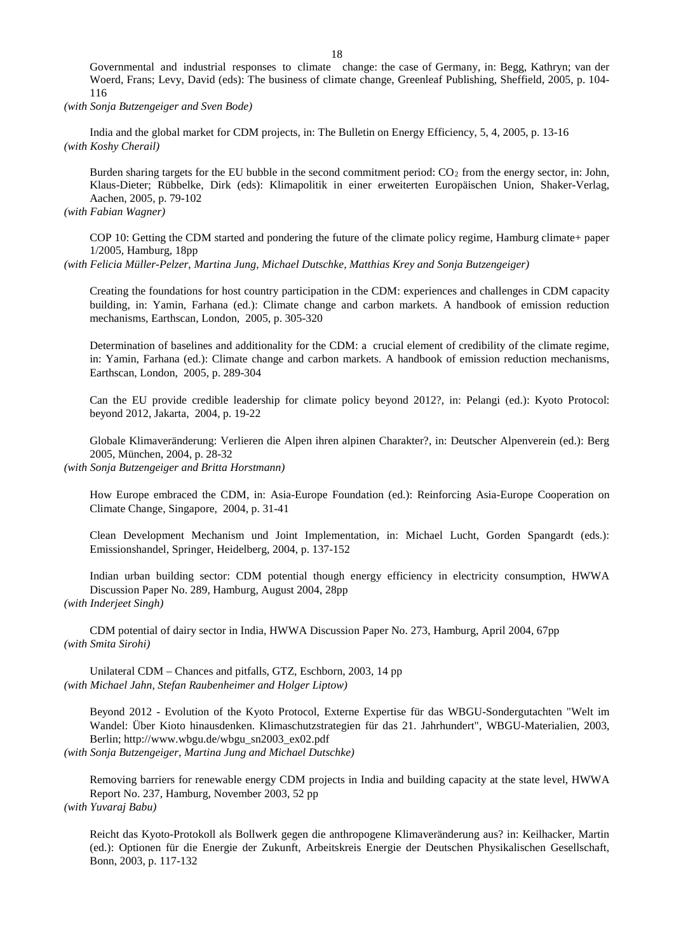Governmental and industrial responses to climate change: the case of Germany, in: Begg, Kathryn; van der Woerd, Frans; Levy, David (eds): The business of climate change, Greenleaf Publishing, Sheffield, 2005, p. 104- 116

*(with Sonja Butzengeiger and Sven Bode)*

India and the global market for CDM projects, in: The Bulletin on Energy Efficiency, 5, 4, 2005, p. 13-16 *(with Koshy Cherail)* 

Burden sharing targets for the EU bubble in the second commitment period:  $CO<sub>2</sub>$  from the energy sector, in: John, Klaus-Dieter; Rübbelke, Dirk (eds): Klimapolitik in einer erweiterten Europäischen Union, Shaker-Verlag, Aachen, 2005, p. 79-102

*(with Fabian Wagner)* 

COP 10: Getting the CDM started and pondering the future of the climate policy regime, Hamburg climate+ paper 1/2005, Hamburg, 18pp

*(with Felicia Müller-Pelzer, Martina Jung, Michael Dutschke, Matthias Krey and Sonja Butzengeiger)*

Creating the foundations for host country participation in the CDM: experiences and challenges in CDM capacity building, in: Yamin, Farhana (ed.): Climate change and carbon markets. A handbook of emission reduction mechanisms, Earthscan, London, 2005, p. 305-320

Determination of baselines and additionality for the CDM: a crucial element of credibility of the climate regime, in: Yamin, Farhana (ed.): Climate change and carbon markets. A handbook of emission reduction mechanisms, Earthscan, London, 2005, p. 289-304

Can the EU provide credible leadership for climate policy beyond 2012?, in: Pelangi (ed.): Kyoto Protocol: beyond 2012, Jakarta, 2004, p. 19-22

Globale Klimaveränderung: Verlieren die Alpen ihren alpinen Charakter?, in: Deutscher Alpenverein (ed.): Berg 2005, München, 2004, p. 28-32

*(with Sonja Butzengeiger and Britta Horstmann)* 

How Europe embraced the CDM, in: Asia-Europe Foundation (ed.): Reinforcing Asia-Europe Cooperation on Climate Change, Singapore, 2004, p. 31-41

Clean Development Mechanism und Joint Implementation, in: Michael Lucht, Gorden Spangardt (eds.): Emissionshandel, Springer, Heidelberg, 2004, p. 137-152

Indian urban building sector: CDM potential though energy efficiency in electricity consumption, HWWA Discussion Paper No. 289, Hamburg, August 2004, 28pp *(with Inderjeet Singh)*

CDM potential of dairy sector in India, HWWA Discussion Paper No. 273, Hamburg, April 2004, 67pp *(with Smita Sirohi)*

Unilateral CDM – Chances and pitfalls, GTZ, Eschborn, 2003, 14 pp *(with Michael Jahn, Stefan Raubenheimer and Holger Liptow)*

Beyond 2012 - Evolution of the Kyoto Protocol, Externe Expertise für das WBGU-Sondergutachten "Welt im Wandel: Über Kioto hinausdenken. Klimaschutzstrategien für das 21. Jahrhundert", WBGU-Materialien, 2003, Berlin; http://www.wbgu.de/wbgu\_sn2003\_ex02.pdf

*(with Sonja Butzengeiger, Martina Jung and Michael Dutschke)*

Removing barriers for renewable energy CDM projects in India and building capacity at the state level, HWWA Report No. 237, Hamburg, November 2003, 52 pp *(with Yuvaraj Babu)*

Reicht das Kyoto-Protokoll als Bollwerk gegen die anthropogene Klimaveränderung aus? in: Keilhacker, Martin (ed.): Optionen für die Energie der Zukunft, Arbeitskreis Energie der Deutschen Physikalischen Gesellschaft, Bonn, 2003, p. 117-132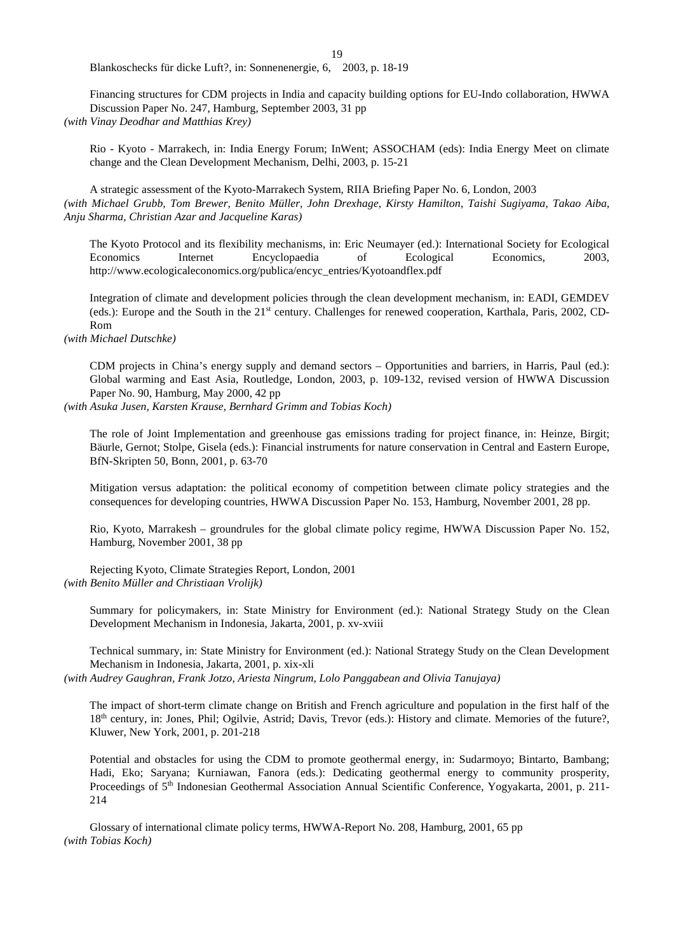19

Blankoschecks für dicke Luft?, in: Sonnenenergie, 6, 2003, p. 18-19

Financing structures for CDM projects in India and capacity building options for EU-Indo collaboration, HWWA Discussion Paper No. 247, Hamburg, September 2003, 31 pp

*(with Vinay Deodhar and Matthias Krey)*

Rio - Kyoto - Marrakech, in: India Energy Forum; InWent; ASSOCHAM (eds): India Energy Meet on climate change and the Clean Development Mechanism, Delhi, 2003, p. 15-21

A strategic assessment of the Kyoto-Marrakech System, RIIA Briefing Paper No. 6, London, 2003 *(with Michael Grubb, Tom Brewer, Benito Müller, John Drexhage, Kirsty Hamilton, Taishi Sugiyama, Takao Aiba, Anju Sharma, Christian Azar and Jacqueline Karas)*

The Kyoto Protocol and its flexibility mechanisms, in: Eric Neumayer (ed.): International Society for Ecological Economics Internet Encyclopaedia of Ecological Economics, 2003, http://www.ecologicaleconomics.org/publica/encyc\_entries/Kyotoandflex.pdf

Integration of climate and development policies through the clean development mechanism, in: EADI, GEMDEV (eds.): Europe and the South in the 21<sup>st</sup> century. Challenges for renewed cooperation, Karthala, Paris, 2002, CD-Rom

*(with Michael Dutschke)*

CDM projects in China's energy supply and demand sectors – Opportunities and barriers, in Harris, Paul (ed.): Global warming and East Asia, Routledge, London, 2003, p. 109-132, revised version of HWWA Discussion Paper No. 90, Hamburg, May 2000, 42 pp

*(with Asuka Jusen, Karsten Krause, Bernhard Grimm and Tobias Koch)*

The role of Joint Implementation and greenhouse gas emissions trading for project finance, in: Heinze, Birgit; Bäurle, Gernot; Stolpe, Gisela (eds.): Financial instruments for nature conservation in Central and Eastern Europe, BfN-Skripten 50, Bonn, 2001, p. 63-70

Mitigation versus adaptation: the political economy of competition between climate policy strategies and the consequences for developing countries, HWWA Discussion Paper No. 153, Hamburg, November 2001, 28 pp.

Rio, Kyoto, Marrakesh – groundrules for the global climate policy regime, HWWA Discussion Paper No. 152, Hamburg, November 2001, 38 pp

Rejecting Kyoto, Climate Strategies Report, London, 2001 *(with Benito Müller and Christiaan Vrolijk)*

Summary for policymakers, in: State Ministry for Environment (ed.): National Strategy Study on the Clean Development Mechanism in Indonesia, Jakarta, 2001, p. xv-xviii

Technical summary, in: State Ministry for Environment (ed.): National Strategy Study on the Clean Development Mechanism in Indonesia, Jakarta, 2001, p. xix-xli

*(with Audrey Gaughran, Frank Jotzo, Ariesta Ningrum, Lolo Panggabean and Olivia Tanujaya)*

The impact of short-term climate change on British and French agriculture and population in the first half of the 18th century, in: Jones, Phil; Ogilvie, Astrid; Davis, Trevor (eds.): History and climate. Memories of the future?, Kluwer, New York, 2001, p. 201-218

Potential and obstacles for using the CDM to promote geothermal energy, in: Sudarmoyo; Bintarto, Bambang; Hadi, Eko; Saryana; Kurniawan, Fanora (eds.): Dedicating geothermal energy to community prosperity, Proceedings of 5<sup>th</sup> Indonesian Geothermal Association Annual Scientific Conference, Yogyakarta, 2001, p. 211-214

Glossary of international climate policy terms, HWWA-Report No. 208, Hamburg, 2001, 65 pp *(with Tobias Koch)*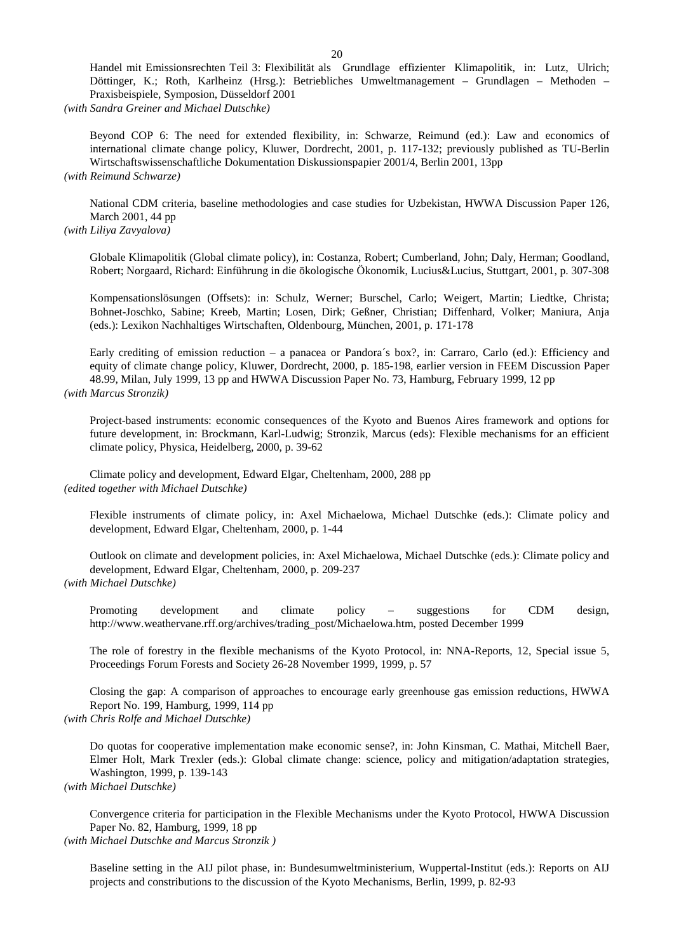Handel mit Emissionsrechten Teil 3: Flexibilität als Grundlage effizienter Klimapolitik, in: Lutz, Ulrich; Döttinger, K.; Roth, Karlheinz (Hrsg.): Betriebliches Umweltmanagement – Grundlagen – Methoden – Praxisbeispiele, Symposion, Düsseldorf 2001

*(with Sandra Greiner and Michael Dutschke)* 

Beyond COP 6: The need for extended flexibility, in: Schwarze, Reimund (ed.): Law and economics of international climate change policy, Kluwer, Dordrecht, 2001, p. 117-132; previously published as TU-Berlin Wirtschaftswissenschaftliche Dokumentation Diskussionspapier 2001/4, Berlin 2001, 13pp *(with Reimund Schwarze)*

National CDM criteria, baseline methodologies and case studies for Uzbekistan, HWWA Discussion Paper 126, March 2001, 44 pp

*(with Liliya Zavyalova)*

Globale Klimapolitik (Global climate policy), in: Costanza, Robert; Cumberland, John; Daly, Herman; Goodland, Robert; Norgaard, Richard: Einführung in die ökologische Ökonomik, Lucius&Lucius, Stuttgart, 2001, p. 307-308

Kompensationslösungen (Offsets): in: Schulz, Werner; Burschel, Carlo; Weigert, Martin; Liedtke, Christa; Bohnet-Joschko, Sabine; Kreeb, Martin; Losen, Dirk; Geßner, Christian; Diffenhard, Volker; Maniura, Anja (eds.): Lexikon Nachhaltiges Wirtschaften, Oldenbourg, München, 2001, p. 171-178

Early crediting of emission reduction – a panacea or Pandora´s box?, in: Carraro, Carlo (ed.): Efficiency and equity of climate change policy, Kluwer, Dordrecht, 2000, p. 185-198, earlier version in FEEM Discussion Paper 48.99, Milan, July 1999, 13 pp and HWWA Discussion Paper No. 73, Hamburg, February 1999, 12 pp *(with Marcus Stronzik)*

Project-based instruments: economic consequences of the Kyoto and Buenos Aires framework and options for future development, in: Brockmann, Karl-Ludwig; Stronzik, Marcus (eds): Flexible mechanisms for an efficient climate policy, Physica, Heidelberg, 2000, p. 39-62

Climate policy and development, Edward Elgar, Cheltenham, 2000, 288 pp *(edited together with Michael Dutschke)*

Flexible instruments of climate policy, in: Axel Michaelowa, Michael Dutschke (eds.): Climate policy and development, Edward Elgar, Cheltenham, 2000, p. 1-44

Outlook on climate and development policies, in: Axel Michaelowa, Michael Dutschke (eds.): Climate policy and development, Edward Elgar, Cheltenham, 2000, p. 209-237 *(with Michael Dutschke)*

Promoting development and climate policy – suggestions for CDM design, http://www.weathervane.rff.org/archives/trading\_post/Michaelowa.htm, posted December 1999

The role of forestry in the flexible mechanisms of the Kyoto Protocol, in: NNA-Reports, 12, Special issue 5, Proceedings Forum Forests and Society 26-28 November 1999, 1999, p. 57

Closing the gap: A comparison of approaches to encourage early greenhouse gas emission reductions, HWWA Report No. 199, Hamburg, 1999, 114 pp

*(with Chris Rolfe and Michael Dutschke)*

Do quotas for cooperative implementation make economic sense?, in: John Kinsman, C. Mathai, Mitchell Baer, Elmer Holt, Mark Trexler (eds.): Global climate change: science, policy and mitigation/adaptation strategies, Washington, 1999, p. 139-143

*(with Michael Dutschke)*

Convergence criteria for participation in the Flexible Mechanisms under the Kyoto Protocol, HWWA Discussion Paper No. 82, Hamburg, 1999, 18 pp

*(with Michael Dutschke and Marcus Stronzik )*

Baseline setting in the AIJ pilot phase, in: Bundesumweltministerium, Wuppertal-Institut (eds.): Reports on AIJ projects and constributions to the discussion of the Kyoto Mechanisms, Berlin, 1999, p. 82-93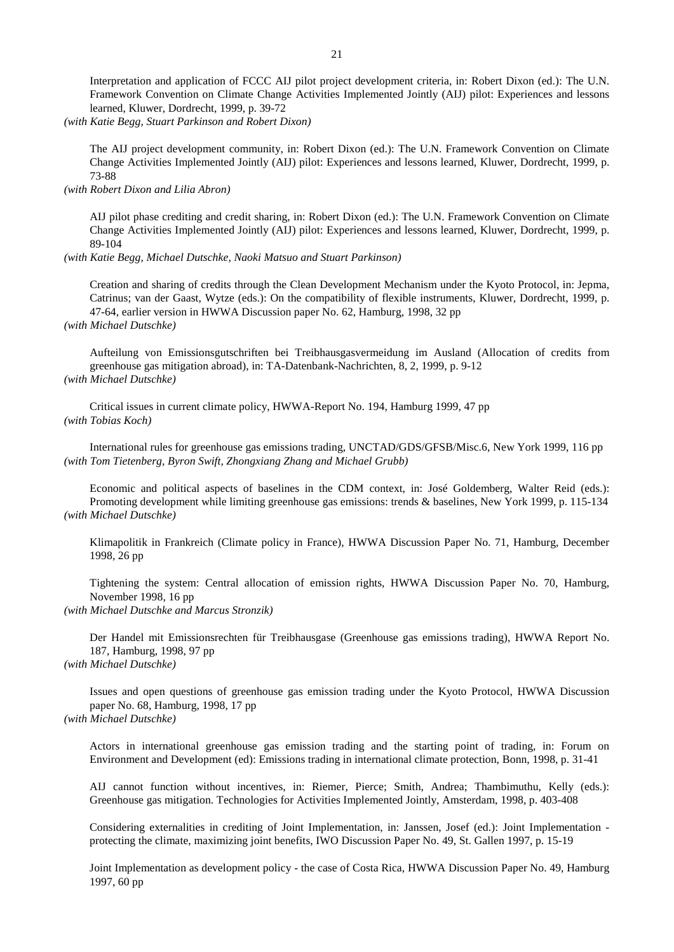Interpretation and application of FCCC AIJ pilot project development criteria, in: Robert Dixon (ed.): The U.N. Framework Convention on Climate Change Activities Implemented Jointly (AIJ) pilot: Experiences and lessons learned, Kluwer, Dordrecht, 1999, p. 39-72

*(with Katie Begg, Stuart Parkinson and Robert Dixon)*

The AIJ project development community, in: Robert Dixon (ed.): The U.N. Framework Convention on Climate Change Activities Implemented Jointly (AIJ) pilot: Experiences and lessons learned, Kluwer, Dordrecht, 1999, p. 73-88

*(with Robert Dixon and Lilia Abron)*

AIJ pilot phase crediting and credit sharing, in: Robert Dixon (ed.): The U.N. Framework Convention on Climate Change Activities Implemented Jointly (AIJ) pilot: Experiences and lessons learned, Kluwer, Dordrecht, 1999, p. 89-104

*(with Katie Begg, Michael Dutschke, Naoki Matsuo and Stuart Parkinson)*

Creation and sharing of credits through the Clean Development Mechanism under the Kyoto Protocol, in: Jepma, Catrinus; van der Gaast, Wytze (eds.): On the compatibility of flexible instruments, Kluwer, Dordrecht, 1999, p. 47-64, earlier version in HWWA Discussion paper No. 62, Hamburg, 1998, 32 pp *(with Michael Dutschke)*

Aufteilung von Emissionsgutschriften bei Treibhausgasvermeidung im Ausland (Allocation of credits from greenhouse gas mitigation abroad), in: TA-Datenbank-Nachrichten, 8, 2, 1999, p. 9-12 *(with Michael Dutschke)*

Critical issues in current climate policy, HWWA-Report No. 194, Hamburg 1999, 47 pp *(with Tobias Koch)*

International rules for greenhouse gas emissions trading, UNCTAD/GDS/GFSB/Misc.6, New York 1999, 116 pp *(with Tom Tietenberg, Byron Swift, Zhongxiang Zhang and Michael Grubb)*

Economic and political aspects of baselines in the CDM context, in: José Goldemberg, Walter Reid (eds.): Promoting development while limiting greenhouse gas emissions: trends & baselines, New York 1999, p. 115-134 *(with Michael Dutschke)*

Klimapolitik in Frankreich (Climate policy in France), HWWA Discussion Paper No. 71, Hamburg, December 1998, 26 pp

Tightening the system: Central allocation of emission rights, HWWA Discussion Paper No. 70, Hamburg, November 1998, 16 pp

*(with Michael Dutschke and Marcus Stronzik)*

Der Handel mit Emissionsrechten für Treibhausgase (Greenhouse gas emissions trading), HWWA Report No. 187, Hamburg, 1998, 97 pp

*(with Michael Dutschke)*

Issues and open questions of greenhouse gas emission trading under the Kyoto Protocol, HWWA Discussion paper No. 68, Hamburg, 1998, 17 pp

*(with Michael Dutschke)*

Actors in international greenhouse gas emission trading and the starting point of trading, in: Forum on Environment and Development (ed): Emissions trading in international climate protection, Bonn, 1998, p. 31-41

AIJ cannot function without incentives, in: Riemer, Pierce; Smith, Andrea; Thambimuthu, Kelly (eds.): Greenhouse gas mitigation. Technologies for Activities Implemented Jointly, Amsterdam, 1998, p. 403-408

Considering externalities in crediting of Joint Implementation, in: Janssen, Josef (ed.): Joint Implementation protecting the climate, maximizing joint benefits, IWO Discussion Paper No. 49, St. Gallen 1997, p. 15-19

Joint Implementation as development policy - the case of Costa Rica, HWWA Discussion Paper No. 49, Hamburg 1997, 60 pp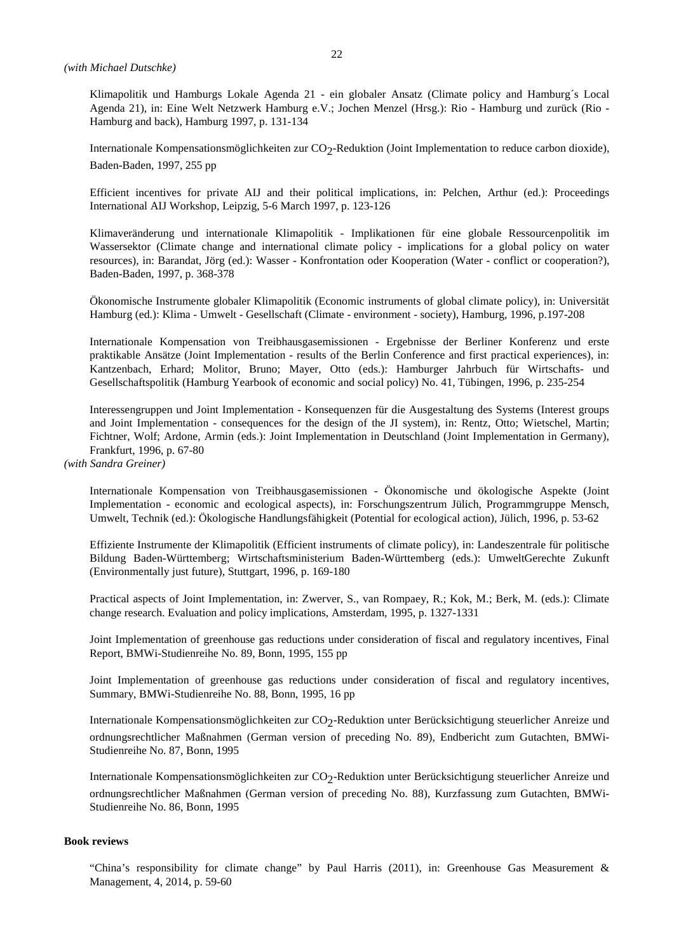Klimapolitik und Hamburgs Lokale Agenda 21 - ein globaler Ansatz (Climate policy and Hamburg´s Local Agenda 21), in: Eine Welt Netzwerk Hamburg e.V.; Jochen Menzel (Hrsg.): Rio - Hamburg und zurück (Rio - Hamburg and back), Hamburg 1997, p. 131-134

Internationale Kompensationsmöglichkeiten zur CO<sub>2</sub>-Reduktion (Joint Implementation to reduce carbon dioxide), Baden-Baden, 1997, 255 pp

Efficient incentives for private AIJ and their political implications, in: Pelchen, Arthur (ed.): Proceedings International AIJ Workshop, Leipzig, 5-6 March 1997, p. 123-126

Klimaveränderung und internationale Klimapolitik - Implikationen für eine globale Ressourcenpolitik im Wassersektor (Climate change and international climate policy - implications for a global policy on water resources), in: Barandat, Jörg (ed.): Wasser - Konfrontation oder Kooperation (Water - conflict or cooperation?), Baden-Baden, 1997, p. 368-378

Ökonomische Instrumente globaler Klimapolitik (Economic instruments of global climate policy), in: Universität Hamburg (ed.): Klima - Umwelt - Gesellschaft (Climate - environment - society), Hamburg, 1996, p.197-208

Internationale Kompensation von Treibhausgasemissionen - Ergebnisse der Berliner Konferenz und erste praktikable Ansätze (Joint Implementation - results of the Berlin Conference and first practical experiences), in: Kantzenbach, Erhard; Molitor, Bruno; Mayer, Otto (eds.): Hamburger Jahrbuch für Wirtschafts- und Gesellschaftspolitik (Hamburg Yearbook of economic and social policy) No. 41, Tübingen, 1996, p. 235-254

Interessengruppen und Joint Implementation - Konsequenzen für die Ausgestaltung des Systems (Interest groups and Joint Implementation - consequences for the design of the JI system), in: Rentz, Otto; Wietschel, Martin; Fichtner, Wolf; Ardone, Armin (eds.): Joint Implementation in Deutschland (Joint Implementation in Germany), Frankfurt, 1996, p. 67-80

*(with Sandra Greiner)* 

Internationale Kompensation von Treibhausgasemissionen - Ökonomische und ökologische Aspekte (Joint Implementation - economic and ecological aspects), in: Forschungszentrum Jülich, Programmgruppe Mensch, Umwelt, Technik (ed.): Ökologische Handlungsfähigkeit (Potential for ecological action), Jülich, 1996, p. 53-62

Effiziente Instrumente der Klimapolitik (Efficient instruments of climate policy), in: Landeszentrale für politische Bildung Baden-Württemberg; Wirtschaftsministerium Baden-Württemberg (eds.): UmweltGerechte Zukunft (Environmentally just future), Stuttgart, 1996, p. 169-180

Practical aspects of Joint Implementation, in: Zwerver, S., van Rompaey, R.; Kok, M.; Berk, M. (eds.): Climate change research. Evaluation and policy implications, Amsterdam, 1995, p. 1327-1331

Joint Implementation of greenhouse gas reductions under consideration of fiscal and regulatory incentives, Final Report, BMWi-Studienreihe No. 89, Bonn, 1995, 155 pp

Joint Implementation of greenhouse gas reductions under consideration of fiscal and regulatory incentives, Summary, BMWi-Studienreihe No. 88, Bonn, 1995, 16 pp

Internationale Kompensationsmöglichkeiten zur CO<sub>2</sub>-Reduktion unter Berücksichtigung steuerlicher Anreize und ordnungsrechtlicher Maßnahmen (German version of preceding No. 89), Endbericht zum Gutachten, BMWi-Studienreihe No. 87, Bonn, 1995

Internationale Kompensationsmöglichkeiten zur CO<sub>2</sub>-Reduktion unter Berücksichtigung steuerlicher Anreize und ordnungsrechtlicher Maßnahmen (German version of preceding No. 88), Kurzfassung zum Gutachten, BMWi-Studienreihe No. 86, Bonn, 1995

### **Book reviews**

"China's responsibility for climate change" by Paul Harris (2011), in: Greenhouse Gas Measurement & Management, 4, 2014, p. 59-60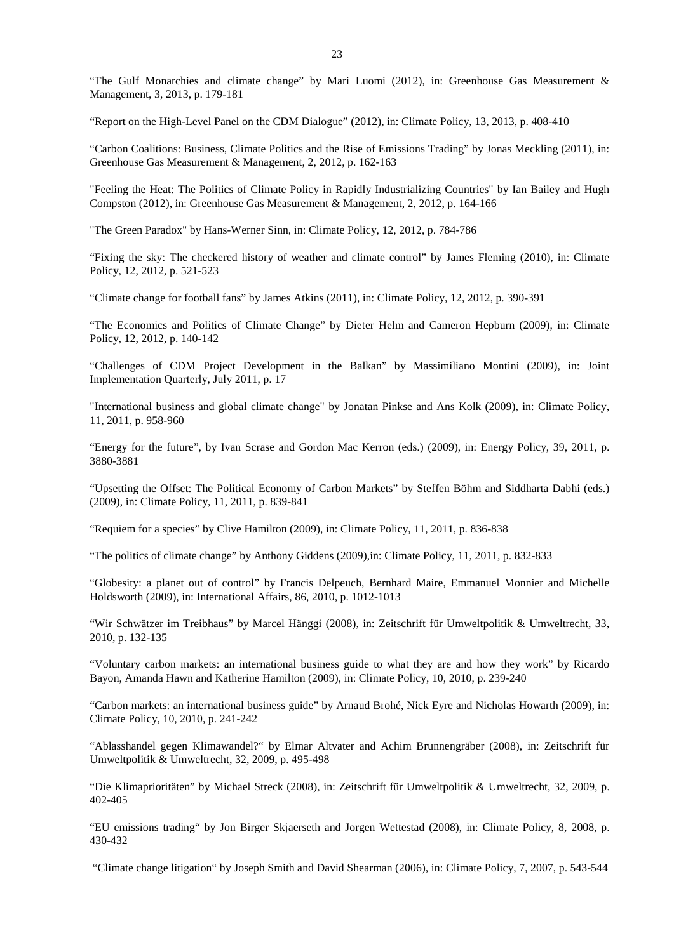"The Gulf Monarchies and climate change" by Mari Luomi (2012), in: Greenhouse Gas Measurement & Management, 3, 2013, p. 179-181

"Report on the High-Level Panel on the CDM Dialogue" (2012), in: Climate Policy, 13, 2013, p. 408-410

"Carbon Coalitions: Business, Climate Politics and the Rise of Emissions Trading" by Jonas Meckling (2011), in: Greenhouse Gas Measurement & Management, 2, 2012, p. 162-163

"Feeling the Heat: The Politics of Climate Policy in Rapidly Industrializing Countries" by Ian Bailey and Hugh Compston (2012), in: Greenhouse Gas Measurement & Management, 2, 2012, p. 164-166

"The Green Paradox" by Hans-Werner Sinn, in: Climate Policy, 12, 2012, p. 784-786

"Fixing the sky: The checkered history of weather and climate control" by James Fleming (2010), in: Climate Policy, 12, 2012, p. 521-523

"Climate change for football fans" by James Atkins (2011), in: Climate Policy, 12, 2012, p. 390-391

"The Economics and Politics of Climate Change" by Dieter Helm and Cameron Hepburn (2009), in: Climate Policy, 12, 2012, p. 140-142

"Challenges of CDM Project Development in the Balkan" by Massimiliano Montini (2009), in: Joint Implementation Quarterly, July 2011, p. 17

"International business and global climate change" by Jonatan Pinkse and Ans Kolk (2009), in: Climate Policy, 11, 2011, p. 958-960

"Energy for the future", by Ivan Scrase and Gordon Mac Kerron (eds.) (2009), in: Energy Policy, 39, 2011, p. 3880-3881

"Upsetting the Offset: The Political Economy of Carbon Markets" by Steffen Böhm and Siddharta Dabhi (eds.) (2009), in: Climate Policy, 11, 2011, p. 839-841

"Requiem for a species" by Clive Hamilton (2009), in: Climate Policy, 11, 2011, p. 836-838

"The politics of climate change" by Anthony Giddens (2009),in: Climate Policy, 11, 2011, p. 832-833

"Globesity: a planet out of control" by Francis Delpeuch, Bernhard Maire, Emmanuel Monnier and Michelle Holdsworth (2009), in: International Affairs, 86, 2010, p. 1012-1013

"Wir Schwätzer im Treibhaus" by Marcel Hänggi (2008), in: Zeitschrift für Umweltpolitik & Umweltrecht, 33, 2010, p. 132-135

"Voluntary carbon markets: an international business guide to what they are and how they work" by Ricardo Bayon, Amanda Hawn and Katherine Hamilton (2009), in: Climate Policy, 10, 2010, p. 239-240

"Carbon markets: an international business guide" by Arnaud Brohé, Nick Eyre and Nicholas Howarth (2009), in: Climate Policy, 10, 2010, p. 241-242

"Ablasshandel gegen Klimawandel?" by Elmar Altvater and Achim Brunnengräber (2008), in: Zeitschrift für Umweltpolitik & Umweltrecht, 32, 2009, p. 495-498

"Die Klimaprioritäten" by Michael Streck (2008), in: Zeitschrift für Umweltpolitik & Umweltrecht, 32, 2009, p. 402-405

"EU emissions trading" by Jon Birger Skjaerseth and Jorgen Wettestad (2008), in: Climate Policy, 8, 2008, p. 430-432

"Climate change litigation" by Joseph Smith and David Shearman (2006), in: Climate Policy, 7, 2007, p. 543-544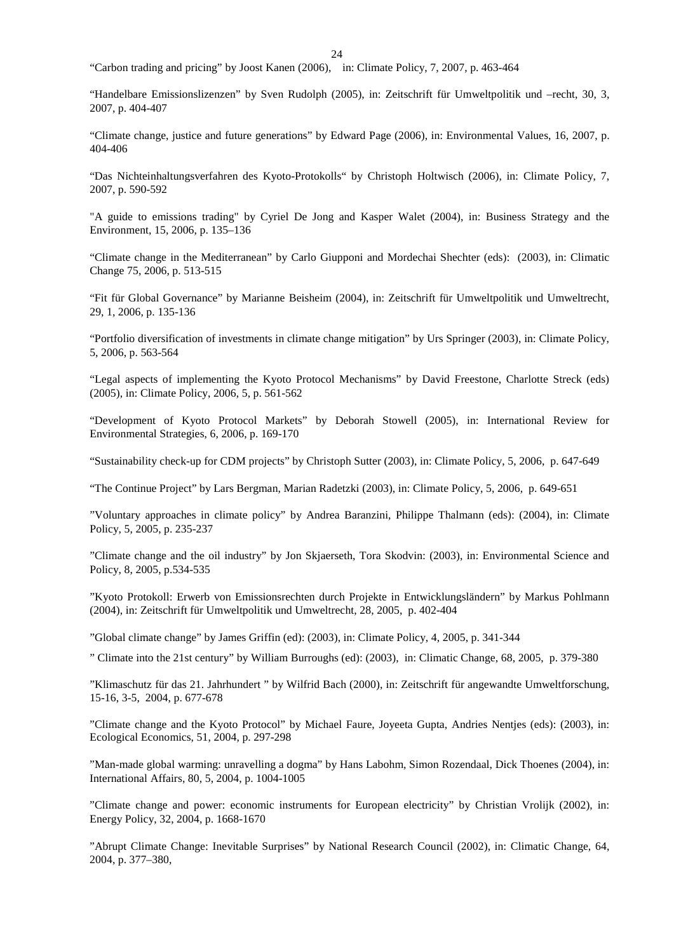"Carbon trading and pricing" by Joost Kanen (2006), in: Climate Policy, 7, 2007, p. 463-464

"Handelbare Emissionslizenzen" by Sven Rudolph (2005), in: Zeitschrift für Umweltpolitik und –recht, 30, 3, 2007, p. 404-407

"Climate change, justice and future generations" by Edward Page (2006), in: Environmental Values, 16, 2007, p. 404-406

"Das Nichteinhaltungsverfahren des Kyoto-Protokolls" by Christoph Holtwisch (2006), in: Climate Policy, 7, 2007, p. 590-592

"A guide to emissions trading" by Cyriel De Jong and Kasper Walet (2004), in: Business Strategy and the Environment, 15, 2006, p. 135–136

"Climate change in the Mediterranean" by Carlo Giupponi and Mordechai Shechter (eds): (2003), in: Climatic Change 75, 2006, p. 513-515

"Fit für Global Governance" by Marianne Beisheim (2004), in: Zeitschrift für Umweltpolitik und Umweltrecht, 29, 1, 2006, p. 135-136

"Portfolio diversification of investments in climate change mitigation" by Urs Springer (2003), in: Climate Policy, 5, 2006, p. 563-564

"Legal aspects of implementing the Kyoto Protocol Mechanisms" by David Freestone, Charlotte Streck (eds) (2005), in: Climate Policy, 2006, 5, p. 561-562

"Development of Kyoto Protocol Markets" by Deborah Stowell (2005), in: International Review for Environmental Strategies, 6, 2006, p. 169-170

"Sustainability check-up for CDM projects" by Christoph Sutter (2003), in: Climate Policy, 5, 2006, p. 647-649

"The Continue Project" by Lars Bergman, Marian Radetzki (2003), in: Climate Policy, 5, 2006, p. 649-651

"Voluntary approaches in climate policy" by Andrea Baranzini, Philippe Thalmann (eds): (2004), in: Climate Policy, 5, 2005, p. 235-237

"Climate change and the oil industry" by Jon Skjaerseth, Tora Skodvin: (2003), in: Environmental Science and Policy, 8, 2005, p.534-535

"Kyoto Protokoll: Erwerb von Emissionsrechten durch Projekte in Entwicklungsländern" by Markus Pohlmann (2004), in: Zeitschrift für Umweltpolitik und Umweltrecht, 28, 2005, p. 402-404

"Global climate change" by James Griffin (ed): (2003), in: Climate Policy, 4, 2005, p. 341-344

" Climate into the 21st century" by William Burroughs (ed): (2003), in: Climatic Change, 68, 2005, p. 379-380

"Klimaschutz für das 21. Jahrhundert " by Wilfrid Bach (2000), in: Zeitschrift für angewandte Umweltforschung, 15-16, 3-5, 2004, p. 677-678

"Climate change and the Kyoto Protocol" by Michael Faure, Joyeeta Gupta, Andries Nentjes (eds): (2003), in: Ecological Economics, 51, 2004, p. 297-298

"Man-made global warming: unravelling a dogma" by Hans Labohm, Simon Rozendaal, Dick Thoenes (2004), in: International Affairs, 80, 5, 2004, p. 1004-1005

"Climate change and power: economic instruments for European electricity" by Christian Vrolijk (2002), in: Energy Policy, 32, 2004, p. 1668-1670

"Abrupt Climate Change: Inevitable Surprises" by National Research Council (2002), in: Climatic Change, 64, 2004, p. 377–380,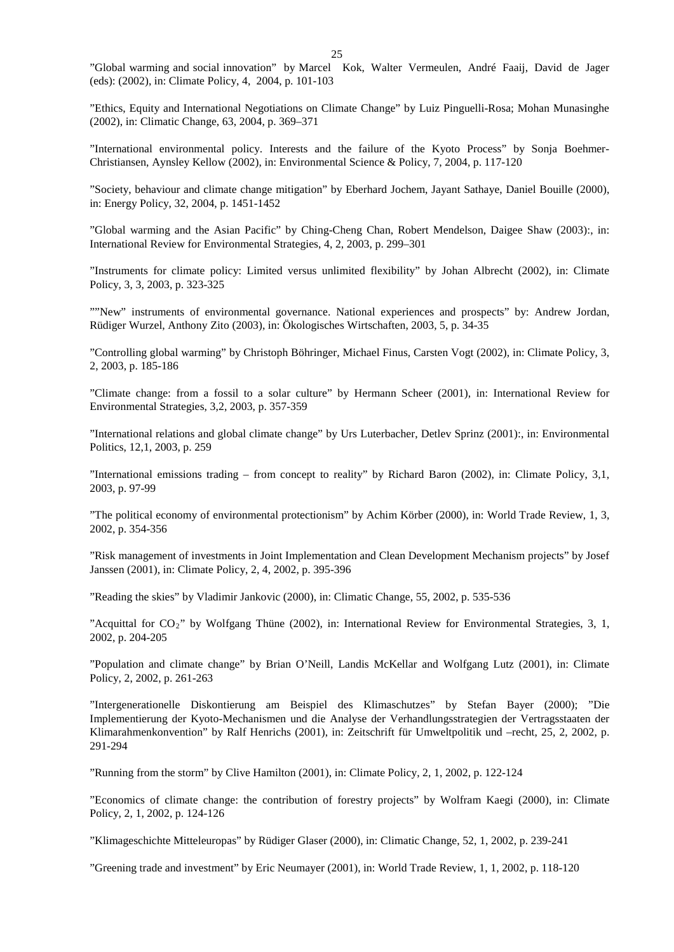25

"Global warming and social innovation" by Marcel Kok, Walter Vermeulen, André Faaij, David de Jager (eds): (2002), in: Climate Policy, 4, 2004, p. 101-103

"Ethics, Equity and International Negotiations on Climate Change" by Luiz Pinguelli-Rosa; Mohan Munasinghe (2002), in: Climatic Change, 63, 2004, p. 369–371

"International environmental policy. Interests and the failure of the Kyoto Process" by Sonja Boehmer-Christiansen, Aynsley Kellow (2002), in: Environmental Science & Policy, 7, 2004, p. 117-120

"Society, behaviour and climate change mitigation" by Eberhard Jochem, Jayant Sathaye, Daniel Bouille (2000), in: Energy Policy, 32, 2004, p. 1451-1452

"Global warming and the Asian Pacific" by Ching-Cheng Chan, Robert Mendelson, Daigee Shaw (2003):, in: International Review for Environmental Strategies, 4, 2, 2003, p. 299–301

"Instruments for climate policy: Limited versus unlimited flexibility" by Johan Albrecht (2002), in: Climate Policy, 3, 3, 2003, p. 323-325

""New" instruments of environmental governance. National experiences and prospects" by: Andrew Jordan, Rüdiger Wurzel, Anthony Zito (2003), in: Ökologisches Wirtschaften, 2003, 5, p. 34-35

"Controlling global warming" by Christoph Böhringer, Michael Finus, Carsten Vogt (2002), in: Climate Policy, 3, 2, 2003, p. 185-186

"Climate change: from a fossil to a solar culture" by Hermann Scheer (2001), in: International Review for Environmental Strategies, 3,2, 2003, p. 357-359

"International relations and global climate change" by Urs Luterbacher, Detlev Sprinz (2001):, in: Environmental Politics, 12,1, 2003, p. 259

"International emissions trading – from concept to reality" by Richard Baron (2002), in: Climate Policy, 3,1, 2003, p. 97-99

"The political economy of environmental protectionism" by Achim Körber (2000), in: World Trade Review, 1, 3, 2002, p. 354-356

"Risk management of investments in Joint Implementation and Clean Development Mechanism projects" by Josef Janssen (2001), in: Climate Policy, 2, 4, 2002, p. 395-396

"Reading the skies" by Vladimir Jankovic (2000), in: Climatic Change, 55, 2002, p. 535-536

"Acquittal for CO2" by Wolfgang Thüne (2002), in: International Review for Environmental Strategies, 3, 1, 2002, p. 204-205

"Population and climate change" by Brian O'Neill, Landis McKellar and Wolfgang Lutz (2001), in: Climate Policy, 2, 2002, p. 261-263

"Intergenerationelle Diskontierung am Beispiel des Klimaschutzes" by Stefan Bayer (2000); "Die Implementierung der Kyoto-Mechanismen und die Analyse der Verhandlungsstrategien der Vertragsstaaten der Klimarahmenkonvention" by Ralf Henrichs (2001), in: Zeitschrift für Umweltpolitik und –recht, 25, 2, 2002, p. 291-294

"Running from the storm" by Clive Hamilton (2001), in: Climate Policy, 2, 1, 2002, p. 122-124

"Economics of climate change: the contribution of forestry projects" by Wolfram Kaegi (2000), in: Climate Policy, 2, 1, 2002, p. 124-126

"Klimageschichte Mitteleuropas" by Rüdiger Glaser (2000), in: Climatic Change, 52, 1, 2002, p. 239-241

"Greening trade and investment" by Eric Neumayer (2001), in: World Trade Review, 1, 1, 2002, p. 118-120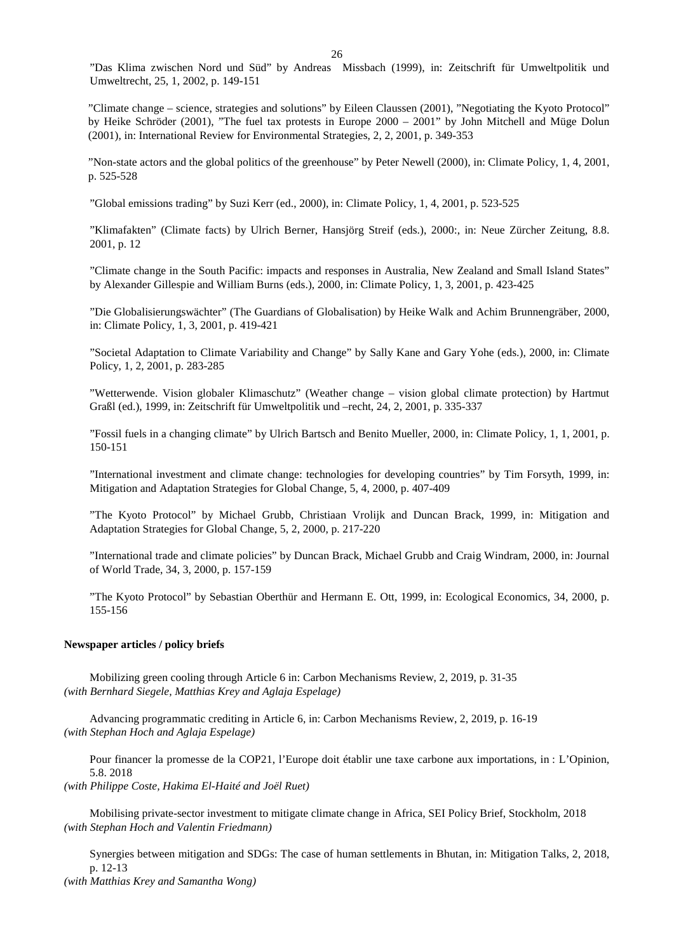"Das Klima zwischen Nord und Süd" by Andreas Missbach (1999), in: Zeitschrift für Umweltpolitik und Umweltrecht, 25, 1, 2002, p. 149-151

"Climate change – science, strategies and solutions" by Eileen Claussen (2001), "Negotiating the Kyoto Protocol" by Heike Schröder (2001), "The fuel tax protests in Europe 2000 – 2001" by John Mitchell and Müge Dolun (2001), in: International Review for Environmental Strategies, 2, 2, 2001, p. 349-353

"Non-state actors and the global politics of the greenhouse" by Peter Newell (2000), in: Climate Policy, 1, 4, 2001, p. 525-528

"Global emissions trading" by Suzi Kerr (ed., 2000), in: Climate Policy, 1, 4, 2001, p. 523-525

"Klimafakten" (Climate facts) by Ulrich Berner, Hansjörg Streif (eds.), 2000:, in: Neue Zürcher Zeitung, 8.8. 2001, p. 12

"Climate change in the South Pacific: impacts and responses in Australia, New Zealand and Small Island States" by Alexander Gillespie and William Burns (eds.), 2000, in: Climate Policy, 1, 3, 2001, p. 423-425

"Die Globalisierungswächter" (The Guardians of Globalisation) by Heike Walk and Achim Brunnengräber, 2000, in: Climate Policy, 1, 3, 2001, p. 419-421

"Societal Adaptation to Climate Variability and Change" by Sally Kane and Gary Yohe (eds.), 2000, in: Climate Policy, 1, 2, 2001, p. 283-285

"Wetterwende. Vision globaler Klimaschutz" (Weather change – vision global climate protection) by Hartmut Graßl (ed.), 1999, in: Zeitschrift für Umweltpolitik und –recht, 24, 2, 2001, p. 335-337

"Fossil fuels in a changing climate" by Ulrich Bartsch and Benito Mueller, 2000, in: Climate Policy, 1, 1, 2001, p. 150-151

"International investment and climate change: technologies for developing countries" by Tim Forsyth, 1999, in: Mitigation and Adaptation Strategies for Global Change, 5, 4, 2000, p. 407-409

"The Kyoto Protocol" by Michael Grubb, Christiaan Vrolijk and Duncan Brack, 1999, in: Mitigation and Adaptation Strategies for Global Change, 5, 2, 2000, p. 217-220

"International trade and climate policies" by Duncan Brack, Michael Grubb and Craig Windram, 2000, in: Journal of World Trade, 34, 3, 2000, p. 157-159

"The Kyoto Protocol" by Sebastian Oberthür and Hermann E. Ott, 1999, in: Ecological Economics, 34, 2000, p. 155-156

### **Newspaper articles / policy briefs**

Mobilizing green cooling through Article 6 in: Carbon Mechanisms Review, 2, 2019, p. 31-35 *(with Bernhard Siegele, Matthias Krey and Aglaja Espelage)*

Advancing programmatic crediting in Article 6, in: Carbon Mechanisms Review, 2, 2019, p. 16-19 *(with Stephan Hoch and Aglaja Espelage)*

Pour financer la promesse de la COP21, l'Europe doit établir une taxe carbone aux importations, in : L'Opinion, 5.8. 2018

*(with Philippe Coste, Hakima El-Haité and Joël Ruet)*

Mobilising private-sector investment to mitigate climate change in Africa, SEI Policy Brief, Stockholm, 2018 *(with Stephan Hoch and Valentin Friedmann)*

Synergies between mitigation and SDGs: The case of human settlements in Bhutan, in: Mitigation Talks, 2, 2018, p. 12-13

*(with Matthias Krey and Samantha Wong)*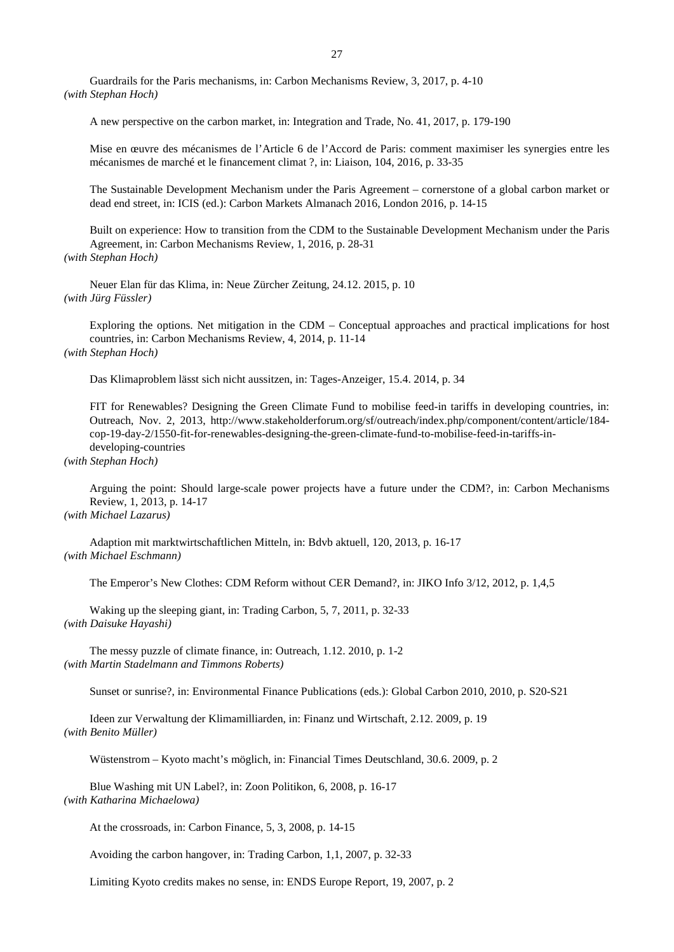A new perspective on the carbon market, in: Integration and Trade, No. 41, 2017, p. 179-190

Mise en œuvre des mécanismes de l'Article 6 de l'Accord de Paris: comment maximiser les synergies entre les mécanismes de marché et le financement climat ?, in: Liaison, 104, 2016, p. 33-35

The Sustainable Development Mechanism under the Paris Agreement – cornerstone of a global carbon market or dead end street, in: ICIS (ed.): Carbon Markets Almanach 2016, London 2016, p. 14-15

Built on experience: How to transition from the CDM to the Sustainable Development Mechanism under the Paris Agreement, in: Carbon Mechanisms Review, 1, 2016, p. 28-31 *(with Stephan Hoch)*

Neuer Elan für das Klima, in: Neue Zürcher Zeitung, 24.12. 2015, p. 10 *(with Jürg Füssler)*

Exploring the options. Net mitigation in the CDM – Conceptual approaches and practical implications for host countries, in: Carbon Mechanisms Review, 4, 2014, p. 11-14 *(with Stephan Hoch)*

Das Klimaproblem lässt sich nicht aussitzen, in: Tages-Anzeiger, 15.4. 2014, p. 34

FIT for Renewables? Designing the Green Climate Fund to mobilise feed-in tariffs in developing countries, in: Outreach, Nov. 2, 2013, http://www.stakeholderforum.org/sf/outreach/index.php/component/content/article/184 cop-19-day-2/1550-fit-for-renewables-designing-the-green-climate-fund-to-mobilise-feed-in-tariffs-indeveloping-countries

*(with Stephan Hoch)*

Arguing the point: Should large-scale power projects have a future under the CDM?, in: Carbon Mechanisms Review, 1, 2013, p. 14-17

*(with Michael Lazarus)*

Adaption mit marktwirtschaftlichen Mitteln, in: Bdvb aktuell, 120, 2013, p. 16-17 *(with Michael Eschmann)*

The Emperor's New Clothes: CDM Reform without CER Demand?, in: JIKO Info 3/12, 2012, p. 1,4,5

Waking up the sleeping giant, in: Trading Carbon, 5, 7, 2011, p. 32-33 *(with Daisuke Hayashi)*

The messy puzzle of climate finance, in: Outreach, 1.12. 2010, p. 1-2 *(with Martin Stadelmann and Timmons Roberts)*

Sunset or sunrise?, in: Environmental Finance Publications (eds.): Global Carbon 2010, 2010, p. S20-S21

Ideen zur Verwaltung der Klimamilliarden, in: Finanz und Wirtschaft, 2.12. 2009, p. 19 *(with Benito Müller)*

Wüstenstrom – Kyoto macht's möglich, in: Financial Times Deutschland, 30.6. 2009, p. 2

Blue Washing mit UN Label?, in: Zoon Politikon, 6, 2008, p. 16-17 *(with Katharina Michaelowa)*

At the crossroads, in: Carbon Finance, 5, 3, 2008, p. 14-15

Avoiding the carbon hangover, in: Trading Carbon, 1,1, 2007, p. 32-33

Limiting Kyoto credits makes no sense, in: ENDS Europe Report, 19, 2007, p. 2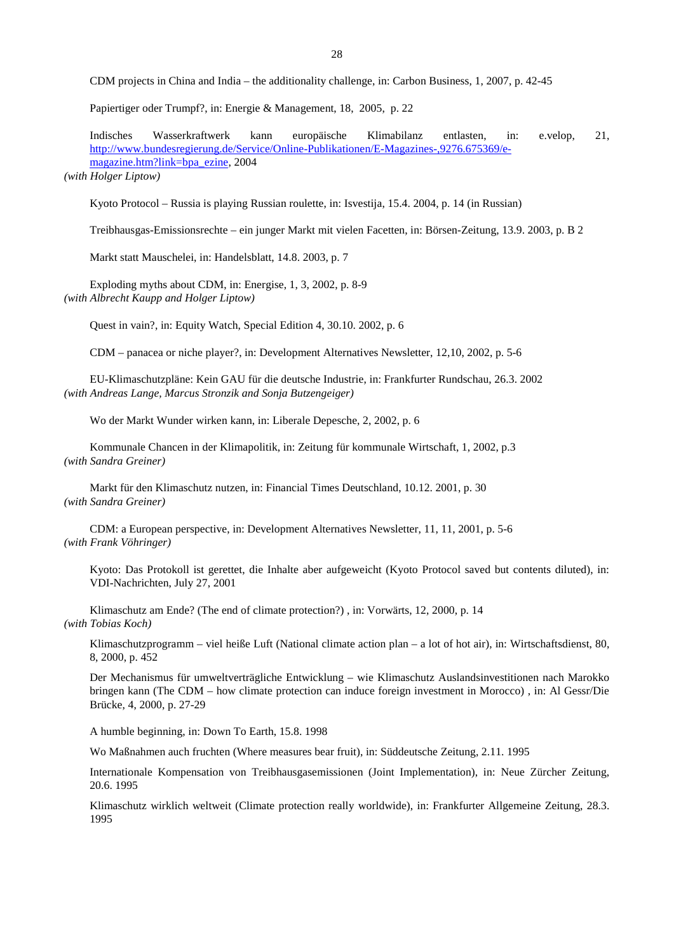CDM projects in China and India – the additionality challenge, in: Carbon Business, 1, 2007, p. 42-45

Papiertiger oder Trumpf?, in: Energie & Management, 18, 2005, p. 22

Indisches Wasserkraftwerk kann europäische Klimabilanz entlasten, in: e.velop, 21, [http://www.bundesregierung.de/Service/Online-Publikationen/E-Magazines-,9276.675369/e](http://www.bundesregierung.de/Service/Online-Publikationen/E-Magazines-,9276.675369/e-magazine.htm?link=bpa_ezine)[magazine.htm?link=bpa\\_ezine,](http://www.bundesregierung.de/Service/Online-Publikationen/E-Magazines-,9276.675369/e-magazine.htm?link=bpa_ezine) 2004

*(with Holger Liptow)*

Kyoto Protocol – Russia is playing Russian roulette, in: Isvestija, 15.4. 2004, p. 14 (in Russian)

Treibhausgas-Emissionsrechte – ein junger Markt mit vielen Facetten, in: Börsen-Zeitung, 13.9. 2003, p. B 2

Markt statt Mauschelei, in: Handelsblatt, 14.8. 2003, p. 7

Exploding myths about CDM, in: Energise, 1, 3, 2002, p. 8-9 *(with Albrecht Kaupp and Holger Liptow)*

Quest in vain?, in: Equity Watch, Special Edition 4, 30.10. 2002, p. 6

CDM – panacea or niche player?, in: Development Alternatives Newsletter, 12,10, 2002, p. 5-6

EU-Klimaschutzpläne: Kein GAU für die deutsche Industrie, in: Frankfurter Rundschau, 26.3. 2002 *(with Andreas Lange, Marcus Stronzik and Sonja Butzengeiger)*

Wo der Markt Wunder wirken kann, in: Liberale Depesche, 2, 2002, p. 6

Kommunale Chancen in der Klimapolitik, in: Zeitung für kommunale Wirtschaft, 1, 2002, p.3 *(with Sandra Greiner)*

Markt für den Klimaschutz nutzen, in: Financial Times Deutschland, 10.12. 2001, p. 30 *(with Sandra Greiner)*

CDM: a European perspective, in: Development Alternatives Newsletter, 11, 11, 2001, p. 5-6 *(with Frank Vöhringer)*

Kyoto: Das Protokoll ist gerettet, die Inhalte aber aufgeweicht (Kyoto Protocol saved but contents diluted), in: VDI-Nachrichten, July 27, 2001

Klimaschutz am Ende? (The end of climate protection?) , in: Vorwärts, 12, 2000, p. 14 *(with Tobias Koch)*

Klimaschutzprogramm – viel heiße Luft (National climate action plan – a lot of hot air), in: Wirtschaftsdienst, 80, 8, 2000, p. 452

Der Mechanismus für umweltverträgliche Entwicklung – wie Klimaschutz Auslandsinvestitionen nach Marokko bringen kann (The CDM – how climate protection can induce foreign investment in Morocco) , in: Al Gessr/Die Brücke, 4, 2000, p. 27-29

A humble beginning, in: Down To Earth, 15.8. 1998

Wo Maßnahmen auch fruchten (Where measures bear fruit), in: Süddeutsche Zeitung, 2.11. 1995

Internationale Kompensation von Treibhausgasemissionen (Joint Implementation), in: Neue Zürcher Zeitung, 20.6. 1995

Klimaschutz wirklich weltweit (Climate protection really worldwide), in: Frankfurter Allgemeine Zeitung, 28.3. 1995